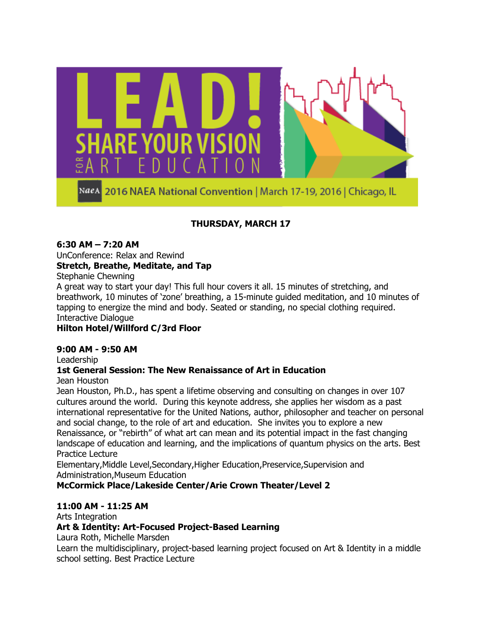

2016 NAEA National Convention | March 17-19, 2016 | Chicago, IL NaeA

# **THURSDAY, MARCH 17**

#### **6:30 AM – 7:20 AM**

UnConference: Relax and Rewind **Stretch, Breathe, Meditate, and Tap**

Stephanie Chewning

A great way to start your day! This full hour covers it all. 15 minutes of stretching, and breathwork, 10 minutes of "zone" breathing, a 15-minute guided meditation, and 10 minutes of tapping to energize the mind and body. Seated or standing, no special clothing required. Interactive Dialogue

### **Hilton Hotel/Willford C/3rd Floor**

#### **9:00 AM - 9:50 AM**

Leadership

### **1st General Session: The New Renaissance of Art in Education**

Jean Houston

Jean Houston, Ph.D., has spent a lifetime observing and consulting on changes in over 107 cultures around the world. During this keynote address, she applies her wisdom as a past international representative for the United Nations, author, philosopher and teacher on personal and social change, to the role of art and education. She invites you to explore a new Renaissance, or "rebirth" of what art can mean and its potential impact in the fast changing landscape of education and learning, and the implications of quantum physics on the arts. Best Practice Lecture

Elementary,Middle Level,Secondary,Higher Education,Preservice,Supervision and Administration,Museum Education

# **McCormick Place/Lakeside Center/Arie Crown Theater/Level 2**

### **11:00 AM - 11:25 AM**

Arts Integration

### **Art & Identity: Art-Focused Project-Based Learning**

Laura Roth, Michelle Marsden

Learn the multidisciplinary, project-based learning project focused on Art & Identity in a middle school setting. Best Practice Lecture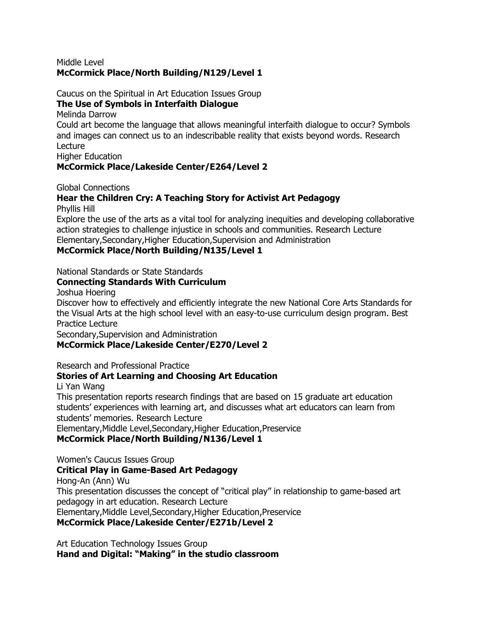#### Middle Level **McCormick Place/North Building/N129/Level 1**

Caucus on the Spiritual in Art Education Issues Group

#### **The Use of Symbols in Interfaith Dialogue**

Melinda Darrow

Could art become the language that allows meaningful interfaith dialogue to occur? Symbols and images can connect us to an indescribable reality that exists beyond words. Research Lecture

Higher Education

### **McCormick Place/Lakeside Center/E264/Level 2**

Global Connections

#### **Hear the Children Cry: A Teaching Story for Activist Art Pedagogy** Phyllis Hill

Explore the use of the arts as a vital tool for analyzing inequities and developing collaborative action strategies to challenge injustice in schools and communities. Research Lecture Elementary,Secondary,Higher Education,Supervision and Administration **McCormick Place/North Building/N135/Level 1**

National Standards or State Standards

#### **Connecting Standards With Curriculum**

Joshua Hoering

Discover how to effectively and efficiently integrate the new National Core Arts Standards for the Visual Arts at the high school level with an easy-to-use curriculum design program. Best Practice Lecture

Secondary,Supervision and Administration

### **McCormick Place/Lakeside Center/E270/Level 2**

Research and Professional Practice

### **Stories of Art Learning and Choosing Art Education**

Li Yan Wang

This presentation reports research findings that are based on 15 graduate art education students' experiences with learning art, and discusses what art educators can learn from students" memories. Research Lecture

Elementary,Middle Level,Secondary,Higher Education,Preservice

#### **McCormick Place/North Building/N136/Level 1**

Women's Caucus Issues Group **Critical Play in Game-Based Art Pedagogy** Hong-An (Ann) Wu This presentation discusses the concept of "critical play" in relationship to game-based art pedagogy in art education. Research Lecture Elementary,Middle Level,Secondary,Higher Education,Preservice **McCormick Place/Lakeside Center/E271b/Level 2**

Art Education Technology Issues Group Hand and Digital: "Making" in the studio classroom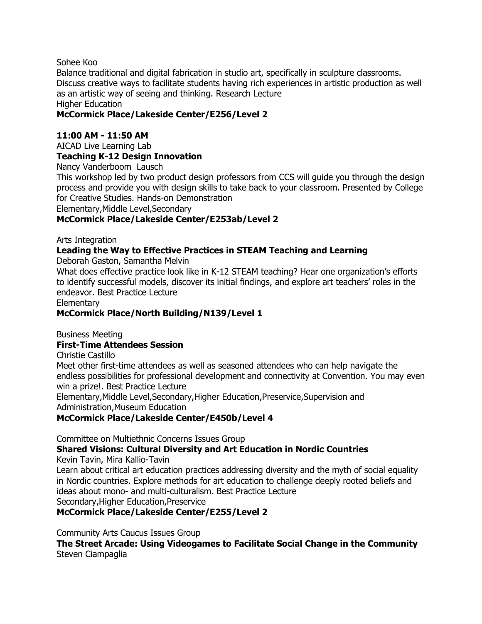#### Sohee Koo

Balance traditional and digital fabrication in studio art, specifically in sculpture classrooms. Discuss creative ways to facilitate students having rich experiences in artistic production as well as an artistic way of seeing and thinking. Research Lecture Higher Education

#### **McCormick Place/Lakeside Center/E256/Level 2**

#### **11:00 AM - 11:50 AM**

AICAD Live Learning Lab

#### **Teaching K-12 Design Innovation**

Nancy Vanderboom Lausch

This workshop led by two product design professors from CCS will guide you through the design process and provide you with design skills to take back to your classroom. Presented by College for Creative Studies. Hands-on Demonstration Elementary,Middle Level,Secondary

#### **McCormick Place/Lakeside Center/E253ab/Level 2**

Arts Integration

#### **Leading the Way to Effective Practices in STEAM Teaching and Learning**

Deborah Gaston, Samantha Melvin

What does effective practice look like in K-12 STEAM teaching? Hear one organization's efforts to identify successful models, discover its initial findings, and explore art teachers' roles in the endeavor. Best Practice Lecture

**Elementary** 

#### **McCormick Place/North Building/N139/Level 1**

Business Meeting

#### **First-Time Attendees Session**

Christie Castillo

Meet other first-time attendees as well as seasoned attendees who can help navigate the endless possibilities for professional development and connectivity at Convention. You may even win a prize!. Best Practice Lecture

Elementary,Middle Level,Secondary,Higher Education,Preservice,Supervision and Administration,Museum Education

#### **McCormick Place/Lakeside Center/E450b/Level 4**

Committee on Multiethnic Concerns Issues Group

**Shared Visions: Cultural Diversity and Art Education in Nordic Countries**

Kevin Tavin, Mira Kallio-Tavin

Learn about critical art education practices addressing diversity and the myth of social equality in Nordic countries. Explore methods for art education to challenge deeply rooted beliefs and ideas about mono- and multi-culturalism. Best Practice Lecture Secondary,Higher Education,Preservice

**McCormick Place/Lakeside Center/E255/Level 2**

Community Arts Caucus Issues Group

**The Street Arcade: Using Videogames to Facilitate Social Change in the Community** Steven Ciampaglia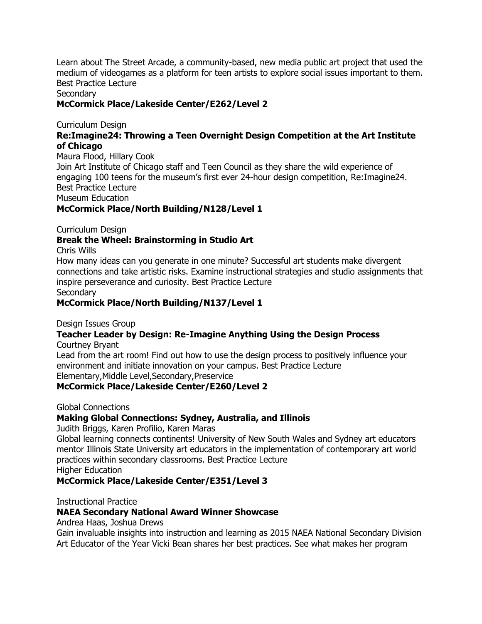Learn about The Street Arcade, a community-based, new media public art project that used the medium of videogames as a platform for teen artists to explore social issues important to them. Best Practice Lecture

Secondary

#### **McCormick Place/Lakeside Center/E262/Level 2**

Curriculum Design

#### **Re:Imagine24: Throwing a Teen Overnight Design Competition at the Art Institute of Chicago**

Maura Flood, Hillary Cook Join Art Institute of Chicago staff and Teen Council as they share the wild experience of engaging 100 teens for the museum"s first ever 24-hour design competition, Re:Imagine24. Best Practice Lecture Museum Education

**McCormick Place/North Building/N128/Level 1**

Curriculum Design

#### **Break the Wheel: Brainstorming in Studio Art**

Chris Wills

How many ideas can you generate in one minute? Successful art students make divergent connections and take artistic risks. Examine instructional strategies and studio assignments that inspire perseverance and curiosity. Best Practice Lecture **Secondary** 

**McCormick Place/North Building/N137/Level 1**

Design Issues Group

#### **Teacher Leader by Design: Re-Imagine Anything Using the Design Process** Courtney Bryant

Lead from the art room! Find out how to use the design process to positively influence your environment and initiate innovation on your campus. Best Practice Lecture Elementary,Middle Level,Secondary,Preservice

#### **McCormick Place/Lakeside Center/E260/Level 2**

Global Connections

#### **Making Global Connections: Sydney, Australia, and Illinois**

Judith Briggs, Karen Profilio, Karen Maras

Global learning connects continents! University of New South Wales and Sydney art educators mentor Illinois State University art educators in the implementation of contemporary art world practices within secondary classrooms. Best Practice Lecture Higher Education

**McCormick Place/Lakeside Center/E351/Level 3**

Instructional Practice

#### **NAEA Secondary National Award Winner Showcase**

Andrea Haas, Joshua Drews

Gain invaluable insights into instruction and learning as 2015 NAEA National Secondary Division Art Educator of the Year Vicki Bean shares her best practices. See what makes her program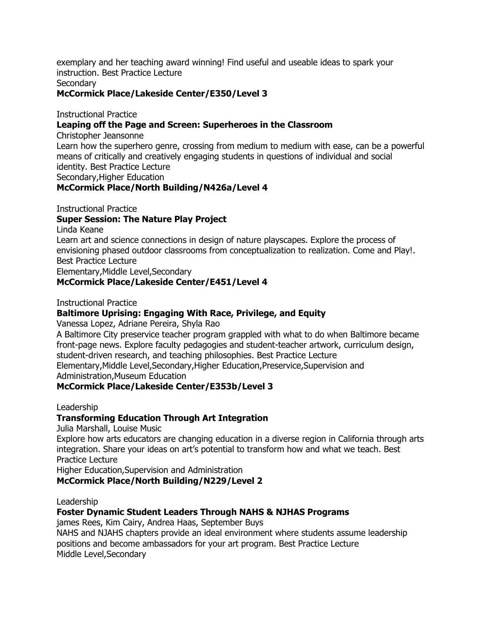exemplary and her teaching award winning! Find useful and useable ideas to spark your instruction. Best Practice Lecture

**Secondary** 

#### **McCormick Place/Lakeside Center/E350/Level 3**

Instructional Practice

#### **Leaping off the Page and Screen: Superheroes in the Classroom**

Christopher Jeansonne

Learn how the superhero genre, crossing from medium to medium with ease, can be a powerful means of critically and creatively engaging students in questions of individual and social identity. Best Practice Lecture Secondary,Higher Education

#### **McCormick Place/North Building/N426a/Level 4**

Instructional Practice

#### **Super Session: The Nature Play Project**

Linda Keane

Learn art and science connections in design of nature playscapes. Explore the process of envisioning phased outdoor classrooms from conceptualization to realization. Come and Play!. Best Practice Lecture

Elementary,Middle Level,Secondary

#### **McCormick Place/Lakeside Center/E451/Level 4**

Instructional Practice

#### **Baltimore Uprising: Engaging With Race, Privilege, and Equity**

Vanessa Lopez, Adriane Pereira, Shyla Rao

A Baltimore City preservice teacher program grappled with what to do when Baltimore became front-page news. Explore faculty pedagogies and student-teacher artwork, curriculum design, student-driven research, and teaching philosophies. Best Practice Lecture Elementary,Middle Level,Secondary,Higher Education,Preservice,Supervision and Administration,Museum Education

#### **McCormick Place/Lakeside Center/E353b/Level 3**

Leadership

### **Transforming Education Through Art Integration**

Julia Marshall, Louise Music

Explore how arts educators are changing education in a diverse region in California through arts integration. Share your ideas on art"s potential to transform how and what we teach. Best Practice Lecture

Higher Education,Supervision and Administration

**McCormick Place/North Building/N229/Level 2**

Leadership

### **Foster Dynamic Student Leaders Through NAHS & NJHAS Programs**

james Rees, Kim Cairy, Andrea Haas, September Buys

NAHS and NJAHS chapters provide an ideal environment where students assume leadership positions and become ambassadors for your art program. Best Practice Lecture Middle Level,Secondary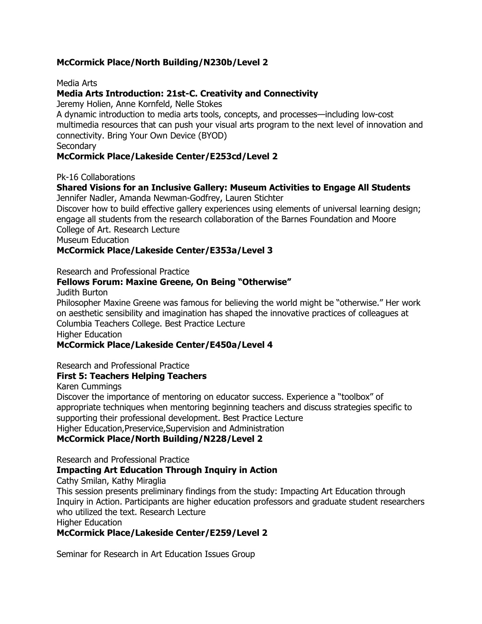#### **McCormick Place/North Building/N230b/Level 2**

Media Arts

#### **Media Arts Introduction: 21st-C. Creativity and Connectivity**

Jeremy Holien, Anne Kornfeld, Nelle Stokes

A dynamic introduction to media arts tools, concepts, and processes—including low-cost multimedia resources that can push your visual arts program to the next level of innovation and connectivity. Bring Your Own Device (BYOD)

**Secondary** 

#### **McCormick Place/Lakeside Center/E253cd/Level 2**

Pk-16 Collaborations

# **Shared Visions for an Inclusive Gallery: Museum Activities to Engage All Students**

Jennifer Nadler, Amanda Newman-Godfrey, Lauren Stichter

Discover how to build effective gallery experiences using elements of universal learning design; engage all students from the research collaboration of the Barnes Foundation and Moore College of Art. Research Lecture

Museum Education

#### **McCormick Place/Lakeside Center/E353a/Level 3**

Research and Professional Practice

#### **Fellows Forum: Maxine Greene, On Being "Otherwise"**

Judith Burton

Philosopher Maxine Greene was famous for believing the world might be "otherwise." Her work on aesthetic sensibility and imagination has shaped the innovative practices of colleagues at Columbia Teachers College. Best Practice Lecture Higher Education

#### **McCormick Place/Lakeside Center/E450a/Level 4**

Research and Professional Practice

#### **First 5: Teachers Helping Teachers**

Karen Cummings

Discover the importance of mentoring on educator success. Experience a "toolbox" of appropriate techniques when mentoring beginning teachers and discuss strategies specific to supporting their professional development. Best Practice Lecture Higher Education,Preservice,Supervision and Administration

#### **McCormick Place/North Building/N228/Level 2**

Research and Professional Practice

#### **Impacting Art Education Through Inquiry in Action**

Cathy Smilan, Kathy Miraglia

This session presents preliminary findings from the study: Impacting Art Education through Inquiry in Action. Participants are higher education professors and graduate student researchers who utilized the text. Research Lecture

Higher Education

#### **McCormick Place/Lakeside Center/E259/Level 2**

Seminar for Research in Art Education Issues Group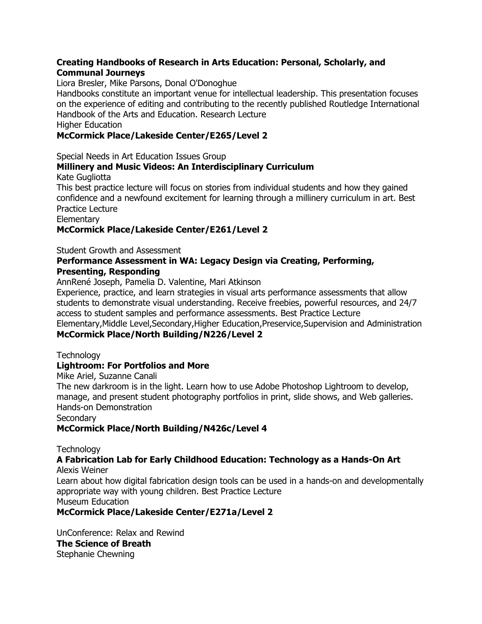#### **Creating Handbooks of Research in Arts Education: Personal, Scholarly, and Communal Journeys**

Liora Bresler, Mike Parsons, Donal O'Donoghue

Handbooks constitute an important venue for intellectual leadership. This presentation focuses on the experience of editing and contributing to the recently published Routledge International Handbook of the Arts and Education. Research Lecture

Higher Education

#### **McCormick Place/Lakeside Center/E265/Level 2**

Special Needs in Art Education Issues Group

#### **Millinery and Music Videos: An Interdisciplinary Curriculum** Kate Gugliotta

This best practice lecture will focus on stories from individual students and how they gained confidence and a newfound excitement for learning through a millinery curriculum in art. Best Practice Lecture

Elementary

#### **McCormick Place/Lakeside Center/E261/Level 2**

Student Growth and Assessment

#### **Performance Assessment in WA: Legacy Design via Creating, Performing, Presenting, Responding**

AnnRené Joseph, Pamelia D. Valentine, Mari Atkinson

Experience, practice, and learn strategies in visual arts performance assessments that allow students to demonstrate visual understanding. Receive freebies, powerful resources, and 24/7 access to student samples and performance assessments. Best Practice Lecture Elementary,Middle Level,Secondary,Higher Education,Preservice,Supervision and Administration

#### **McCormick Place/North Building/N226/Level 2**

**Technology** 

#### **Lightroom: For Portfolios and More**

Mike Ariel, Suzanne Canali

The new darkroom is in the light. Learn how to use Adobe Photoshop Lightroom to develop, manage, and present student photography portfolios in print, slide shows, and Web galleries. Hands-on Demonstration

Secondary

#### **McCormick Place/North Building/N426c/Level 4**

**Technology** 

#### **A Fabrication Lab for Early Childhood Education: Technology as a Hands-On Art** Alexis Weiner

Learn about how digital fabrication design tools can be used in a hands-on and developmentally appropriate way with young children. Best Practice Lecture Museum Education

#### **McCormick Place/Lakeside Center/E271a/Level 2**

UnConference: Relax and Rewind **The Science of Breath** Stephanie Chewning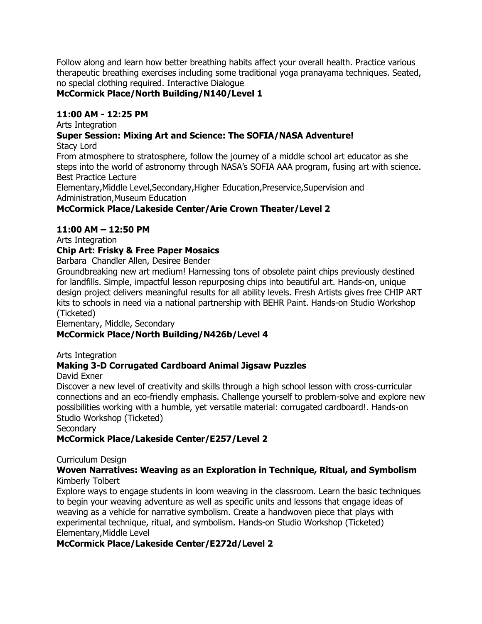Follow along and learn how better breathing habits affect your overall health. Practice various therapeutic breathing exercises including some traditional yoga pranayama techniques. Seated, no special clothing required. Interactive Dialogue

#### **McCormick Place/North Building/N140/Level 1**

#### **11:00 AM - 12:25 PM**

Arts Integration

# **Super Session: Mixing Art and Science: The SOFIA/NASA Adventure!**

Stacy Lord

From atmosphere to stratosphere, follow the journey of a middle school art educator as she steps into the world of astronomy through NASA"s SOFIA AAA program, fusing art with science. Best Practice Lecture

Elementary,Middle Level,Secondary,Higher Education,Preservice,Supervision and Administration,Museum Education

#### **McCormick Place/Lakeside Center/Arie Crown Theater/Level 2**

#### **11:00 AM – 12:50 PM**

Arts Integration

#### **Chip Art: Frisky & Free Paper Mosaics**

Barbara Chandler Allen, Desiree Bender

Groundbreaking new art medium! Harnessing tons of obsolete paint chips previously destined for landfills. Simple, impactful lesson repurposing chips into beautiful art. Hands-on, unique design project delivers meaningful results for all ability levels. Fresh Artists gives free CHIP ART kits to schools in need via a national partnership with BEHR Paint. Hands-on Studio Workshop (Ticketed)

Elementary, Middle, Secondary

#### **McCormick Place/North Building/N426b/Level 4**

Arts Integration

#### **Making 3-D Corrugated Cardboard Animal Jigsaw Puzzles**

David Exner

Discover a new level of creativity and skills through a high school lesson with cross-curricular connections and an eco-friendly emphasis. Challenge yourself to problem-solve and explore new possibilities working with a humble, yet versatile material: corrugated cardboard!. Hands-on Studio Workshop (Ticketed)

**Secondary** 

#### **McCormick Place/Lakeside Center/E257/Level 2**

#### Curriculum Design

#### **Woven Narratives: Weaving as an Exploration in Technique, Ritual, and Symbolism** Kimberly Tolbert

Explore ways to engage students in loom weaving in the classroom. Learn the basic techniques to begin your weaving adventure as well as specific units and lessons that engage ideas of weaving as a vehicle for narrative symbolism. Create a handwoven piece that plays with experimental technique, ritual, and symbolism. Hands-on Studio Workshop (Ticketed) Elementary,Middle Level

#### **McCormick Place/Lakeside Center/E272d/Level 2**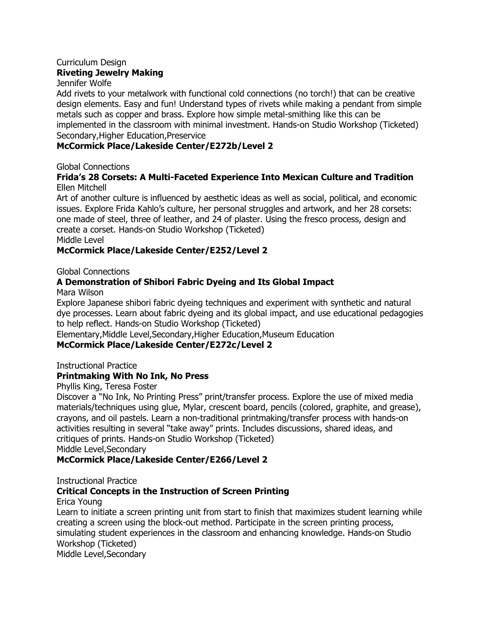#### Curriculum Design **Riveting Jewelry Making**

Jennifer Wolfe

Add rivets to your metalwork with functional cold connections (no torch!) that can be creative design elements. Easy and fun! Understand types of rivets while making a pendant from simple metals such as copper and brass. Explore how simple metal-smithing like this can be implemented in the classroom with minimal investment. Hands-on Studio Workshop (Ticketed) Secondary,Higher Education,Preservice

#### **McCormick Place/Lakeside Center/E272b/Level 2**

Global Connections

#### **Frida's 28 Corsets: A Multi-Faceted Experience Into Mexican Culture and Tradition** Ellen Mitchell

Art of another culture is influenced by aesthetic ideas as well as social, political, and economic issues. Explore Frida Kahlo"s culture, her personal struggles and artwork, and her 28 corsets: one made of steel, three of leather, and 24 of plaster. Using the fresco process, design and create a corset. Hands-on Studio Workshop (Ticketed)

Middle Level

#### **McCormick Place/Lakeside Center/E252/Level 2**

Global Connections

### **A Demonstration of Shibori Fabric Dyeing and Its Global Impact**

Mara Wilson

Explore Japanese shibori fabric dyeing techniques and experiment with synthetic and natural dye processes. Learn about fabric dyeing and its global impact, and use educational pedagogies to help reflect. Hands-on Studio Workshop (Ticketed)

Elementary,Middle Level,Secondary,Higher Education,Museum Education

#### **McCormick Place/Lakeside Center/E272c/Level 2**

Instructional Practice

#### **Printmaking With No Ink, No Press**

Phyllis King, Teresa Foster

Discover a "No Ink, No Printing Press" print/transfer process. Explore the use of mixed media materials/techniques using glue, Mylar, crescent board, pencils (colored, graphite, and grease), crayons, and oil pastels. Learn a non-traditional printmaking/transfer process with hands-on activities resulting in several "take away" prints. Includes discussions, shared ideas, and critiques of prints. Hands-on Studio Workshop (Ticketed)

Middle Level,Secondary

### **McCormick Place/Lakeside Center/E266/Level 2**

Instructional Practice

### **Critical Concepts in the Instruction of Screen Printing**

Erica Young

Learn to initiate a screen printing unit from start to finish that maximizes student learning while creating a screen using the block-out method. Participate in the screen printing process, simulating student experiences in the classroom and enhancing knowledge. Hands-on Studio Workshop (Ticketed)

Middle Level,Secondary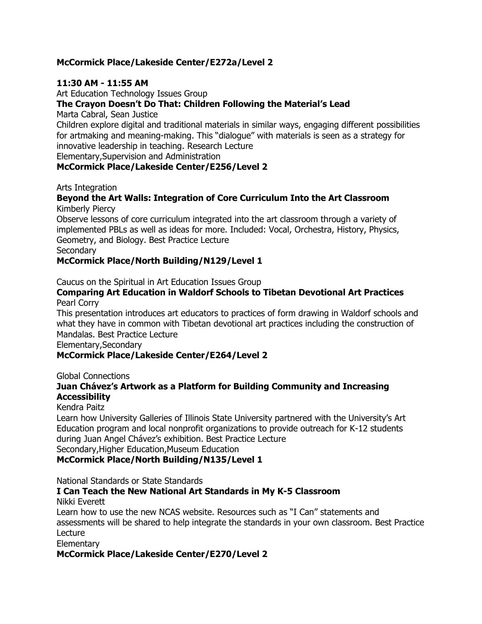#### **McCormick Place/Lakeside Center/E272a/Level 2**

#### **11:30 AM - 11:55 AM**

Art Education Technology Issues Group

#### **The Crayon Doesn't Do That: Children Following the Material's Lead**

Marta Cabral, Sean Justice

Children explore digital and traditional materials in similar ways, engaging different possibilities for artmaking and meaning-making. This "dialogue" with materials is seen as a strategy for innovative leadership in teaching. Research Lecture

Elementary,Supervision and Administration

#### **McCormick Place/Lakeside Center/E256/Level 2**

#### Arts Integration

#### **Beyond the Art Walls: Integration of Core Curriculum Into the Art Classroom** Kimberly Piercy

Observe lessons of core curriculum integrated into the art classroom through a variety of implemented PBLs as well as ideas for more. Included: Vocal, Orchestra, History, Physics, Geometry, and Biology. Best Practice Lecture

**Secondary** 

#### **McCormick Place/North Building/N129/Level 1**

Caucus on the Spiritual in Art Education Issues Group

#### **Comparing Art Education in Waldorf Schools to Tibetan Devotional Art Practices** Pearl Corry

This presentation introduces art educators to practices of form drawing in Waldorf schools and what they have in common with Tibetan devotional art practices including the construction of Mandalas. Best Practice Lecture

Elementary,Secondary

#### **McCormick Place/Lakeside Center/E264/Level 2**

Global Connections

#### **Juan Chávez's Artwork as a Platform for Building Community and Increasing Accessibility**

#### Kendra Paitz

Learn how University Galleries of Illinois State University partnered with the University's Art Education program and local nonprofit organizations to provide outreach for K-12 students during Juan Angel Chávez"s exhibition. Best Practice Lecture Secondary,Higher Education,Museum Education

#### **McCormick Place/North Building/N135/Level 1**

National Standards or State Standards

#### **I Can Teach the New National Art Standards in My K-5 Classroom** Nikki Everett

Learn how to use the new NCAS website. Resources such as "I Can" statements and assessments will be shared to help integrate the standards in your own classroom. Best Practice Lecture

**Elementary** 

#### **McCormick Place/Lakeside Center/E270/Level 2**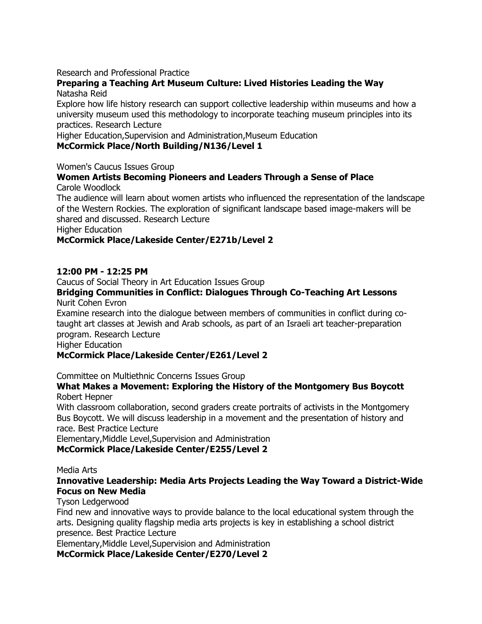#### Research and Professional Practice

#### **Preparing a Teaching Art Museum Culture: Lived Histories Leading the Way** Natasha Reid

Explore how life history research can support collective leadership within museums and how a university museum used this methodology to incorporate teaching museum principles into its practices. Research Lecture

Higher Education,Supervision and Administration,Museum Education

#### **McCormick Place/North Building/N136/Level 1**

Women's Caucus Issues Group

#### **Women Artists Becoming Pioneers and Leaders Through a Sense of Place** Carole Woodlock

The audience will learn about women artists who influenced the representation of the landscape of the Western Rockies. The exploration of significant landscape based image-makers will be shared and discussed. Research Lecture

Higher Education

#### **McCormick Place/Lakeside Center/E271b/Level 2**

#### **12:00 PM - 12:25 PM**

Caucus of Social Theory in Art Education Issues Group

#### **Bridging Communities in Conflict: Dialogues Through Co-Teaching Art Lessons** Nurit Cohen Evron

Examine research into the dialogue between members of communities in conflict during cotaught art classes at Jewish and Arab schools, as part of an Israeli art teacher-preparation program. Research Lecture

Higher Education

#### **McCormick Place/Lakeside Center/E261/Level 2**

Committee on Multiethnic Concerns Issues Group

#### **What Makes a Movement: Exploring the History of the Montgomery Bus Boycott** Robert Hepner

With classroom collaboration, second graders create portraits of activists in the Montgomery Bus Boycott. We will discuss leadership in a movement and the presentation of history and race. Best Practice Lecture

Elementary,Middle Level,Supervision and Administration

#### **McCormick Place/Lakeside Center/E255/Level 2**

Media Arts

#### **Innovative Leadership: Media Arts Projects Leading the Way Toward a District-Wide Focus on New Media**

#### Tyson Ledgerwood

Find new and innovative ways to provide balance to the local educational system through the arts. Designing quality flagship media arts projects is key in establishing a school district presence. Best Practice Lecture

Elementary,Middle Level,Supervision and Administration

**McCormick Place/Lakeside Center/E270/Level 2**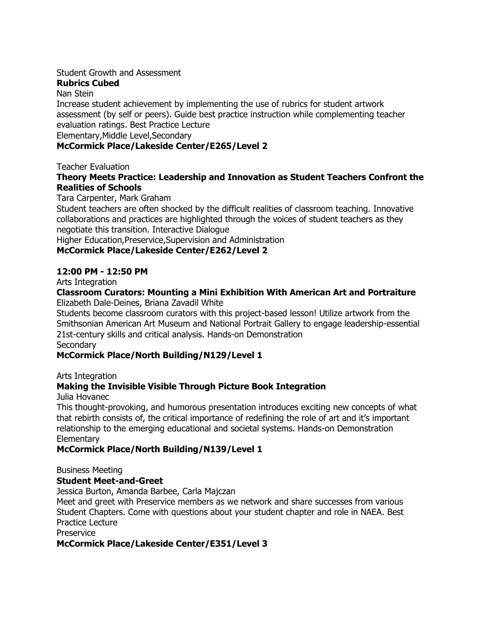#### Student Growth and Assessment

#### **Rubrics Cubed**

#### Nan Stein

Increase student achievement by implementing the use of rubrics for student artwork assessment (by self or peers). Guide best practice instruction while complementing teacher evaluation ratings. Best Practice Lecture

Elementary,Middle Level,Secondary

#### **McCormick Place/Lakeside Center/E265/Level 2**

Teacher Evaluation

#### **Theory Meets Practice: Leadership and Innovation as Student Teachers Confront the Realities of Schools**

Tara Carpenter, Mark Graham

Student teachers are often shocked by the difficult realities of classroom teaching. Innovative collaborations and practices are highlighted through the voices of student teachers as they negotiate this transition. Interactive Dialogue

Higher Education,Preservice,Supervision and Administration

#### **McCormick Place/Lakeside Center/E262/Level 2**

#### **12:00 PM - 12:50 PM**

Arts Integration

#### **Classroom Curators: Mounting a Mini Exhibition With American Art and Portraiture** Elizabeth Dale-Deines, Briana Zavadil White

Students become classroom curators with this project-based lesson! Utilize artwork from the Smithsonian American Art Museum and National Portrait Gallery to engage leadership-essential 21st-century skills and critical analysis. Hands-on Demonstration

**Secondary** 

#### **McCormick Place/North Building/N129/Level 1**

#### Arts Integration

#### **Making the Invisible Visible Through Picture Book Integration**

Julia Hovanec

This thought-provoking, and humorous presentation introduces exciting new concepts of what that rebirth consists of, the critical importance of redefining the role of art and it"s important relationship to the emerging educational and societal systems. Hands-on Demonstration **Elementary** 

#### **McCormick Place/North Building/N139/Level 1**

#### Business Meeting

#### **Student Meet-and-Greet**

Jessica Burton, Amanda Barbee, Carla Majczan

Meet and greet with Preservice members as we network and share successes from various Student Chapters. Come with questions about your student chapter and role in NAEA. Best Practice Lecture

Preservice

#### **McCormick Place/Lakeside Center/E351/Level 3**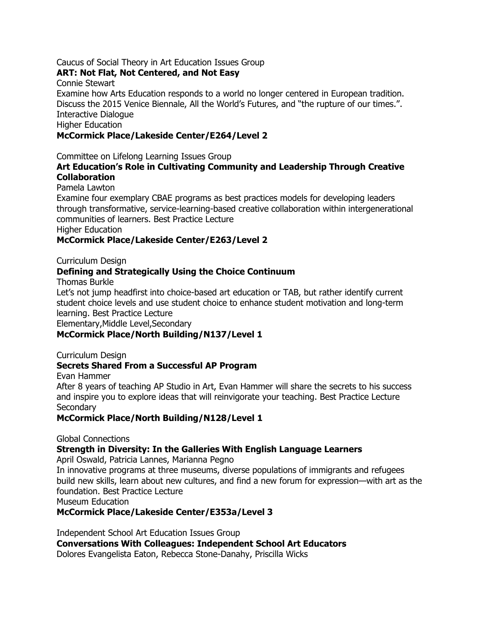#### Caucus of Social Theory in Art Education Issues Group

#### **ART: Not Flat, Not Centered, and Not Easy**

Connie Stewart

Examine how Arts Education responds to a world no longer centered in European tradition. Discuss the 2015 Venice Biennale, All the World"s Futures, and "the rupture of our times.". Interactive Dialogue

Higher Education

#### **McCormick Place/Lakeside Center/E264/Level 2**

Committee on Lifelong Learning Issues Group

#### **Art Education's Role in Cultivating Community and Leadership Through Creative Collaboration**

Pamela Lawton

Examine four exemplary CBAE programs as best practices models for developing leaders through transformative, service-learning-based creative collaboration within intergenerational communities of learners. Best Practice Lecture

Higher Education

#### **McCormick Place/Lakeside Center/E263/Level 2**

Curriculum Design

#### **Defining and Strategically Using the Choice Continuum**

Thomas Burkle

Let's not jump headfirst into choice-based art education or TAB, but rather identify current student choice levels and use student choice to enhance student motivation and long-term learning. Best Practice Lecture

Elementary,Middle Level,Secondary

#### **McCormick Place/North Building/N137/Level 1**

Curriculum Design

#### **Secrets Shared From a Successful AP Program**

Evan Hammer

After 8 years of teaching AP Studio in Art, Evan Hammer will share the secrets to his success and inspire you to explore ideas that will reinvigorate your teaching. Best Practice Lecture **Secondary** 

**McCormick Place/North Building/N128/Level 1**

Global Connections

#### **Strength in Diversity: In the Galleries With English Language Learners**

April Oswald, Patricia Lannes, Marianna Pegno

In innovative programs at three museums, diverse populations of immigrants and refugees build new skills, learn about new cultures, and find a new forum for expression—with art as the foundation. Best Practice Lecture

Museum Education

#### **McCormick Place/Lakeside Center/E353a/Level 3**

Independent School Art Education Issues Group

**Conversations With Colleagues: Independent School Art Educators**

Dolores Evangelista Eaton, Rebecca Stone-Danahy, Priscilla Wicks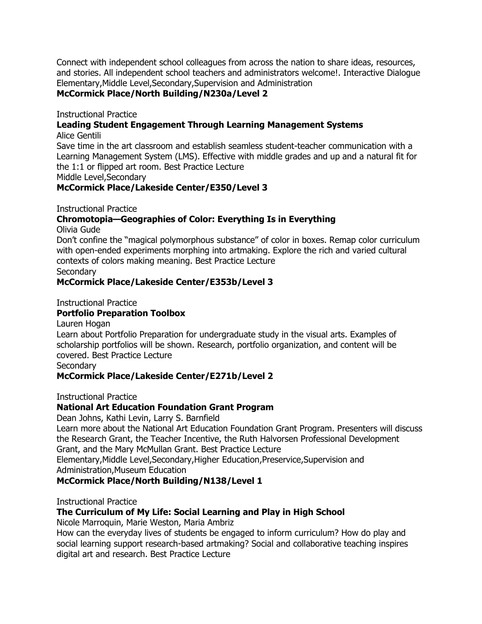Connect with independent school colleagues from across the nation to share ideas, resources, and stories. All independent school teachers and administrators welcome!. Interactive Dialogue Elementary,Middle Level,Secondary,Supervision and Administration

#### **McCormick Place/North Building/N230a/Level 2**

Instructional Practice

#### **Leading Student Engagement Through Learning Management Systems**

Alice Gentili

Save time in the art classroom and establish seamless student-teacher communication with a Learning Management System (LMS). Effective with middle grades and up and a natural fit for the 1:1 or flipped art room. Best Practice Lecture

Middle Level,Secondary

#### **McCormick Place/Lakeside Center/E350/Level 3**

Instructional Practice

#### **Chromotopia—Geographies of Color: Everything Is in Everything** Olivia Gude

Don"t confine the "magical polymorphous substance" of color in boxes. Remap color curriculum with open-ended experiments morphing into artmaking. Explore the rich and varied cultural contexts of colors making meaning. Best Practice Lecture

**Secondary** 

#### **McCormick Place/Lakeside Center/E353b/Level 3**

Instructional Practice

#### **Portfolio Preparation Toolbox**

Lauren Hogan

Learn about Portfolio Preparation for undergraduate study in the visual arts. Examples of scholarship portfolios will be shown. Research, portfolio organization, and content will be covered. Best Practice Lecture

**Secondary** 

#### **McCormick Place/Lakeside Center/E271b/Level 2**

Instructional Practice

#### **National Art Education Foundation Grant Program**

Dean Johns, Kathi Levin, Larry S. Barnfield

Learn more about the National Art Education Foundation Grant Program. Presenters will discuss the Research Grant, the Teacher Incentive, the Ruth Halvorsen Professional Development Grant, and the Mary McMullan Grant. Best Practice Lecture

Elementary,Middle Level,Secondary,Higher Education,Preservice,Supervision and Administration,Museum Education

#### **McCormick Place/North Building/N138/Level 1**

Instructional Practice

#### **The Curriculum of My Life: Social Learning and Play in High School**

Nicole Marroquin, Marie Weston, Maria Ambriz

How can the everyday lives of students be engaged to inform curriculum? How do play and social learning support research-based artmaking? Social and collaborative teaching inspires digital art and research. Best Practice Lecture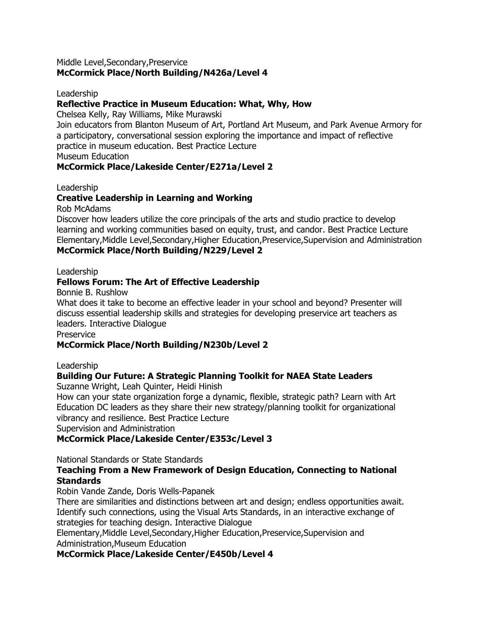#### Middle Level,Secondary,Preservice **McCormick Place/North Building/N426a/Level 4**

#### Leadership

#### **Reflective Practice in Museum Education: What, Why, How**

Chelsea Kelly, Ray Williams, Mike Murawski

Join educators from Blanton Museum of Art, Portland Art Museum, and Park Avenue Armory for a participatory, conversational session exploring the importance and impact of reflective practice in museum education. Best Practice Lecture

Museum Education

#### **McCormick Place/Lakeside Center/E271a/Level 2**

Leadership

#### **Creative Leadership in Learning and Working**

Rob McAdams

Discover how leaders utilize the core principals of the arts and studio practice to develop learning and working communities based on equity, trust, and candor. Best Practice Lecture Elementary,Middle Level,Secondary,Higher Education,Preservice,Supervision and Administration **McCormick Place/North Building/N229/Level 2**

#### Leadership

#### **Fellows Forum: The Art of Effective Leadership**

Bonnie B. Rushlow

What does it take to become an effective leader in your school and beyond? Presenter will discuss essential leadership skills and strategies for developing preservice art teachers as leaders. Interactive Dialogue

**Preservice** 

#### **McCormick Place/North Building/N230b/Level 2**

Leadership

# **Building Our Future: A Strategic Planning Toolkit for NAEA State Leaders**

Suzanne Wright, Leah Quinter, Heidi Hinish

How can your state organization forge a dynamic, flexible, strategic path? Learn with Art Education DC leaders as they share their new strategy/planning toolkit for organizational vibrancy and resilience. Best Practice Lecture

Supervision and Administration

#### **McCormick Place/Lakeside Center/E353c/Level 3**

National Standards or State Standards

#### **Teaching From a New Framework of Design Education, Connecting to National Standards**

Robin Vande Zande, Doris Wells-Papanek

There are similarities and distinctions between art and design; endless opportunities await. Identify such connections, using the Visual Arts Standards, in an interactive exchange of strategies for teaching design. Interactive Dialogue

Elementary,Middle Level,Secondary,Higher Education,Preservice,Supervision and Administration,Museum Education

**McCormick Place/Lakeside Center/E450b/Level 4**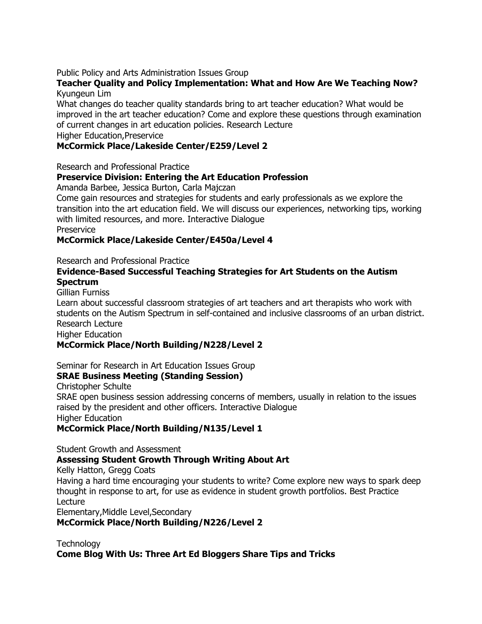#### Public Policy and Arts Administration Issues Group

#### **Teacher Quality and Policy Implementation: What and How Are We Teaching Now?** Kyungeun Lim

What changes do teacher quality standards bring to art teacher education? What would be improved in the art teacher education? Come and explore these questions through examination of current changes in art education policies. Research Lecture

Higher Education,Preservice

#### **McCormick Place/Lakeside Center/E259/Level 2**

Research and Professional Practice

#### **Preservice Division: Entering the Art Education Profession**

Amanda Barbee, Jessica Burton, Carla Majczan

Come gain resources and strategies for students and early professionals as we explore the transition into the art education field. We will discuss our experiences, networking tips, working with limited resources, and more. Interactive Dialogue **Preservice** 

**McCormick Place/Lakeside Center/E450a/Level 4**

#### Research and Professional Practice

#### **Evidence-Based Successful Teaching Strategies for Art Students on the Autism Spectrum**

Gillian Furniss

Learn about successful classroom strategies of art teachers and art therapists who work with students on the Autism Spectrum in self-contained and inclusive classrooms of an urban district. Research Lecture

Higher Education

#### **McCormick Place/North Building/N228/Level 2**

Seminar for Research in Art Education Issues Group

#### **SRAE Business Meeting (Standing Session)**

Christopher Schulte

SRAE open business session addressing concerns of members, usually in relation to the issues raised by the president and other officers. Interactive Dialogue Higher Education

**McCormick Place/North Building/N135/Level 1**

Student Growth and Assessment

#### **Assessing Student Growth Through Writing About Art**

Kelly Hatton, Gregg Coats

Having a hard time encouraging your students to write? Come explore new ways to spark deep thought in response to art, for use as evidence in student growth portfolios. Best Practice Lecture

Elementary,Middle Level,Secondary

**McCormick Place/North Building/N226/Level 2**

**Technology Come Blog With Us: Three Art Ed Bloggers Share Tips and Tricks**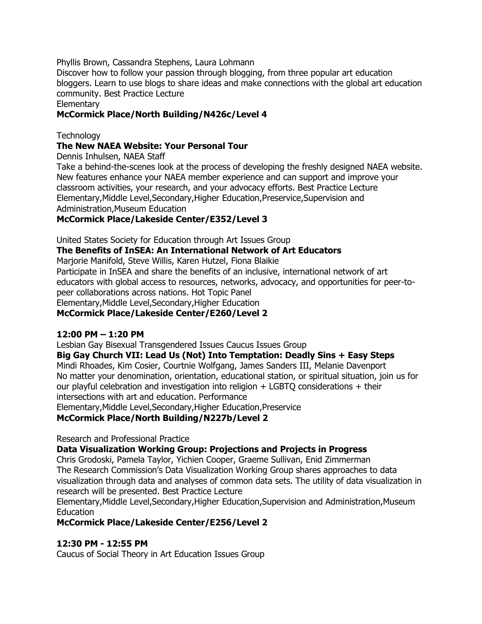Phyllis Brown, Cassandra Stephens, Laura Lohmann

Discover how to follow your passion through blogging, from three popular art education bloggers. Learn to use blogs to share ideas and make connections with the global art education community. Best Practice Lecture

**Elementary** 

#### **McCormick Place/North Building/N426c/Level 4**

#### **Technology**

#### **The New NAEA Website: Your Personal Tour**

Dennis Inhulsen, NAEA Staff

Take a behind-the-scenes look at the process of developing the freshly designed NAEA website. New features enhance your NAEA member experience and can support and improve your classroom activities, your research, and your advocacy efforts. Best Practice Lecture Elementary,Middle Level,Secondary,Higher Education,Preservice,Supervision and Administration,Museum Education

#### **McCormick Place/Lakeside Center/E352/Level 3**

United States Society for Education through Art Issues Group

#### **The Benefits of InSEA: An International Network of Art Educators**

Marjorie Manifold, Steve Willis, Karen Hutzel, Fiona Blaikie

Participate in InSEA and share the benefits of an inclusive, international network of art educators with global access to resources, networks, advocacy, and opportunities for peer-topeer collaborations across nations. Hot Topic Panel Elementary,Middle Level,Secondary,Higher Education **McCormick Place/Lakeside Center/E260/Level 2**

#### **12:00 PM – 1:20 PM**

Lesbian Gay Bisexual Transgendered Issues Caucus Issues Group

#### **Big Gay Church VII: Lead Us (Not) Into Temptation: Deadly Sins + Easy Steps**

Mindi Rhoades, Kim Cosier, Courtnie Wolfgang, James Sanders III, Melanie Davenport No matter your denomination, orientation, educational station, or spiritual situation, join us for our playful celebration and investigation into religion + LGBTQ considerations + their intersections with art and education. Performance

Elementary,Middle Level,Secondary,Higher Education,Preservice

#### **McCormick Place/North Building/N227b/Level 2**

Research and Professional Practice

**Data Visualization Working Group: Projections and Projects in Progress**

Chris Grodoski, Pamela Taylor, Yichien Cooper, Graeme Sullivan, Enid Zimmerman The Research Commission"s Data Visualization Working Group shares approaches to data visualization through data and analyses of common data sets. The utility of data visualization in research will be presented. Best Practice Lecture

Elementary,Middle Level,Secondary,Higher Education,Supervision and Administration,Museum Education

**McCormick Place/Lakeside Center/E256/Level 2**

#### **12:30 PM - 12:55 PM**

Caucus of Social Theory in Art Education Issues Group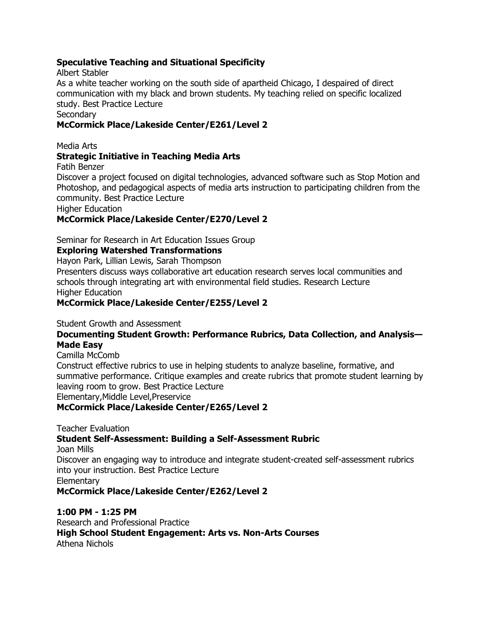#### **Speculative Teaching and Situational Specificity**

Albert Stabler

As a white teacher working on the south side of apartheid Chicago, I despaired of direct communication with my black and brown students. My teaching relied on specific localized study. Best Practice Lecture

#### **Secondary**

#### **McCormick Place/Lakeside Center/E261/Level 2**

Media Arts

#### **Strategic Initiative in Teaching Media Arts**

Fatih Benzer

Discover a project focused on digital technologies, advanced software such as Stop Motion and Photoshop, and pedagogical aspects of media arts instruction to participating children from the community. Best Practice Lecture

Higher Education

#### **McCormick Place/Lakeside Center/E270/Level 2**

Seminar for Research in Art Education Issues Group

#### **Exploring Watershed Transformations**

Hayon Park, Lillian Lewis, Sarah Thompson

Presenters discuss ways collaborative art education research serves local communities and schools through integrating art with environmental field studies. Research Lecture Higher Education

#### **McCormick Place/Lakeside Center/E255/Level 2**

Student Growth and Assessment

#### **Documenting Student Growth: Performance Rubrics, Data Collection, and Analysis— Made Easy**

Camilla McComb

Construct effective rubrics to use in helping students to analyze baseline, formative, and summative performance. Critique examples and create rubrics that promote student learning by leaving room to grow. Best Practice Lecture

Elementary,Middle Level,Preservice

#### **McCormick Place/Lakeside Center/E265/Level 2**

Teacher Evaluation

#### **Student Self-Assessment: Building a Self-Assessment Rubric**

Joan Mills

Discover an engaging way to introduce and integrate student-created self-assessment rubrics into your instruction. Best Practice Lecture

**Elementary** 

**McCormick Place/Lakeside Center/E262/Level 2**

#### **1:00 PM - 1:25 PM**

Research and Professional Practice **High School Student Engagement: Arts vs. Non-Arts Courses** Athena Nichols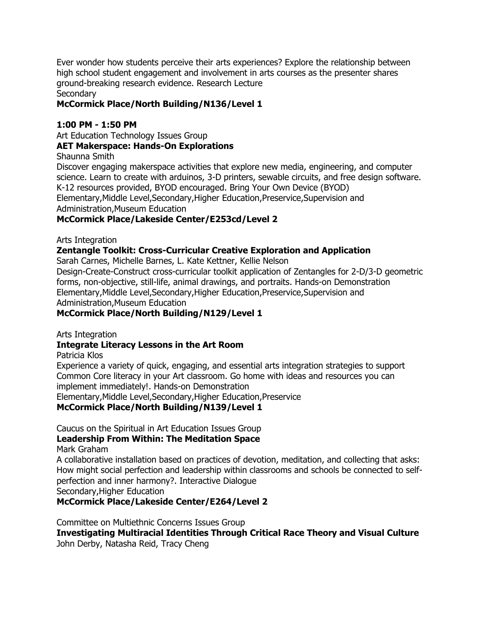Ever wonder how students perceive their arts experiences? Explore the relationship between high school student engagement and involvement in arts courses as the presenter shares ground-breaking research evidence. Research Lecture

Secondary

#### **McCormick Place/North Building/N136/Level 1**

#### **1:00 PM - 1:50 PM**

Art Education Technology Issues Group

#### **AET Makerspace: Hands-On Explorations**

Shaunna Smith

Discover engaging makerspace activities that explore new media, engineering, and computer science. Learn to create with arduinos, 3-D printers, sewable circuits, and free design software. K-12 resources provided, BYOD encouraged. Bring Your Own Device (BYOD) Elementary,Middle Level,Secondary,Higher Education,Preservice,Supervision and Administration,Museum Education

#### **McCormick Place/Lakeside Center/E253cd/Level 2**

Arts Integration

#### **Zentangle Toolkit: Cross-Curricular Creative Exploration and Application**

Sarah Carnes, Michelle Barnes, L. Kate Kettner, Kellie Nelson

Design-Create-Construct cross-curricular toolkit application of Zentangles for 2-D/3-D geometric forms, non-objective, still-life, animal drawings, and portraits. Hands-on Demonstration Elementary,Middle Level,Secondary,Higher Education,Preservice,Supervision and Administration,Museum Education

**McCormick Place/North Building/N129/Level 1**

Arts Integration

#### **Integrate Literacy Lessons in the Art Room**

Patricia Klos

Experience a variety of quick, engaging, and essential arts integration strategies to support Common Core literacy in your Art classroom. Go home with ideas and resources you can implement immediately!. Hands-on Demonstration

Elementary,Middle Level,Secondary,Higher Education,Preservice

#### **McCormick Place/North Building/N139/Level 1**

Caucus on the Spiritual in Art Education Issues Group

#### **Leadership From Within: The Meditation Space**

Mark Graham

A collaborative installation based on practices of devotion, meditation, and collecting that asks: How might social perfection and leadership within classrooms and schools be connected to selfperfection and inner harmony?. Interactive Dialogue Secondary,Higher Education

**McCormick Place/Lakeside Center/E264/Level 2**

Committee on Multiethnic Concerns Issues Group **Investigating Multiracial Identities Through Critical Race Theory and Visual Culture** John Derby, Natasha Reid, Tracy Cheng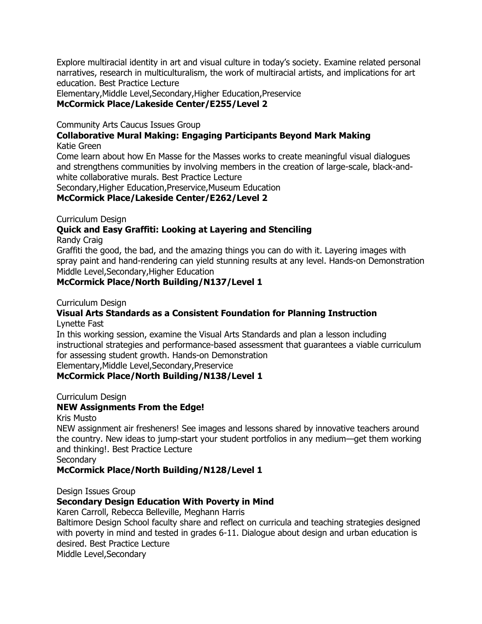Explore multiracial identity in art and visual culture in today"s society. Examine related personal narratives, research in multiculturalism, the work of multiracial artists, and implications for art education. Best Practice Lecture

Elementary,Middle Level,Secondary,Higher Education,Preservice

# **McCormick Place/Lakeside Center/E255/Level 2**

Community Arts Caucus Issues Group

#### **Collaborative Mural Making: Engaging Participants Beyond Mark Making** Katie Green

Come learn about how En Masse for the Masses works to create meaningful visual dialogues and strengthens communities by involving members in the creation of large-scale, black-andwhite collaborative murals. Best Practice Lecture

Secondary,Higher Education,Preservice,Museum Education

#### **McCormick Place/Lakeside Center/E262/Level 2**

Curriculum Design

### **Quick and Easy Graffiti: Looking at Layering and Stenciling**

Randy Craig

Graffiti the good, the bad, and the amazing things you can do with it. Layering images with spray paint and hand-rendering can yield stunning results at any level. Hands-on Demonstration Middle Level,Secondary,Higher Education

#### **McCormick Place/North Building/N137/Level 1**

Curriculum Design

# **Visual Arts Standards as a Consistent Foundation for Planning Instruction**

Lynette Fast

In this working session, examine the Visual Arts Standards and plan a lesson including instructional strategies and performance-based assessment that guarantees a viable curriculum for assessing student growth. Hands-on Demonstration

Elementary,Middle Level,Secondary,Preservice

#### **McCormick Place/North Building/N138/Level 1**

Curriculum Design

#### **NEW Assignments From the Edge!**

Kris Musto

NEW assignment air fresheners! See images and lessons shared by innovative teachers around the country. New ideas to jump-start your student portfolios in any medium—get them working and thinking!. Best Practice Lecture

**Secondary** 

#### **McCormick Place/North Building/N128/Level 1**

Design Issues Group

#### **Secondary Design Education With Poverty in Mind**

Karen Carroll, Rebecca Belleville, Meghann Harris

Baltimore Design School faculty share and reflect on curricula and teaching strategies designed with poverty in mind and tested in grades 6-11. Dialogue about design and urban education is desired. Best Practice Lecture

Middle Level,Secondary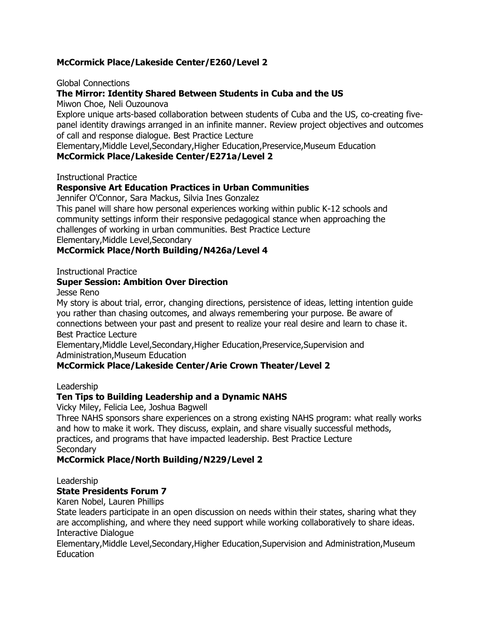#### **McCormick Place/Lakeside Center/E260/Level 2**

Global Connections

#### **The Mirror: Identity Shared Between Students in Cuba and the US**

Miwon Choe, Neli Ouzounova

Explore unique arts-based collaboration between students of Cuba and the US, co-creating fivepanel identity drawings arranged in an infinite manner. Review project objectives and outcomes of call and response dialogue. Best Practice Lecture

Elementary,Middle Level,Secondary,Higher Education,Preservice,Museum Education

#### **McCormick Place/Lakeside Center/E271a/Level 2**

Instructional Practice

#### **Responsive Art Education Practices in Urban Communities**

Jennifer O'Connor, Sara Mackus, Silvia Ines Gonzalez

This panel will share how personal experiences working within public K-12 schools and community settings inform their responsive pedagogical stance when approaching the challenges of working in urban communities. Best Practice Lecture

Elementary,Middle Level,Secondary

**McCormick Place/North Building/N426a/Level 4**

Instructional Practice

#### **Super Session: Ambition Over Direction**

Jesse Reno

My story is about trial, error, changing directions, persistence of ideas, letting intention guide you rather than chasing outcomes, and always remembering your purpose. Be aware of connections between your past and present to realize your real desire and learn to chase it. Best Practice Lecture

Elementary,Middle Level,Secondary,Higher Education,Preservice,Supervision and Administration,Museum Education

#### **McCormick Place/Lakeside Center/Arie Crown Theater/Level 2**

#### Leadership

#### **Ten Tips to Building Leadership and a Dynamic NAHS**

Vicky Miley, Felicia Lee, Joshua Bagwell

Three NAHS sponsors share experiences on a strong existing NAHS program: what really works and how to make it work. They discuss, explain, and share visually successful methods, practices, and programs that have impacted leadership. Best Practice Lecture **Secondary** 

#### **McCormick Place/North Building/N229/Level 2**

Leadership

#### **State Presidents Forum 7**

Karen Nobel, Lauren Phillips

State leaders participate in an open discussion on needs within their states, sharing what they are accomplishing, and where they need support while working collaboratively to share ideas. Interactive Dialogue

Elementary,Middle Level,Secondary,Higher Education,Supervision and Administration,Museum Education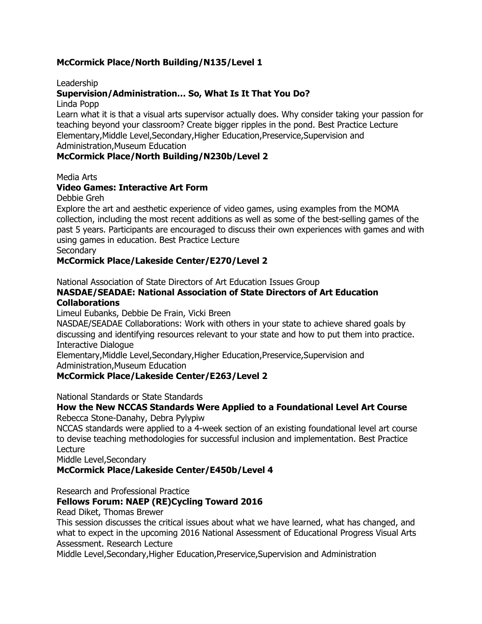#### **McCormick Place/North Building/N135/Level 1**

Leadership

#### **Supervision/Administration… So, What Is It That You Do?**

Linda Popp

Learn what it is that a visual arts supervisor actually does. Why consider taking your passion for teaching beyond your classroom? Create bigger ripples in the pond. Best Practice Lecture Elementary,Middle Level,Secondary,Higher Education,Preservice,Supervision and Administration,Museum Education

#### **McCormick Place/North Building/N230b/Level 2**

Media Arts

#### **Video Games: Interactive Art Form**

Debbie Greh

Explore the art and aesthetic experience of video games, using examples from the MOMA collection, including the most recent additions as well as some of the best-selling games of the past 5 years. Participants are encouraged to discuss their own experiences with games and with using games in education. Best Practice Lecture **Secondary** 

#### **McCormick Place/Lakeside Center/E270/Level 2**

National Association of State Directors of Art Education Issues Group

#### **NASDAE/SEADAE: National Association of State Directors of Art Education Collaborations**

Limeul Eubanks, Debbie De Frain, Vicki Breen

NASDAE/SEADAE Collaborations: Work with others in your state to achieve shared goals by discussing and identifying resources relevant to your state and how to put them into practice. Interactive Dialogue

Elementary,Middle Level,Secondary,Higher Education,Preservice,Supervision and Administration,Museum Education

#### **McCormick Place/Lakeside Center/E263/Level 2**

National Standards or State Standards

#### **How the New NCCAS Standards Were Applied to a Foundational Level Art Course** Rebecca Stone-Danahy, Debra Pylypiw

NCCAS standards were applied to a 4-week section of an existing foundational level art course to devise teaching methodologies for successful inclusion and implementation. Best Practice Lecture

Middle Level,Secondary

**McCormick Place/Lakeside Center/E450b/Level 4**

Research and Professional Practice

#### **Fellows Forum: NAEP (RE)Cycling Toward 2016**

Read Diket, Thomas Brewer

This session discusses the critical issues about what we have learned, what has changed, and what to expect in the upcoming 2016 National Assessment of Educational Progress Visual Arts Assessment. Research Lecture

Middle Level,Secondary,Higher Education,Preservice,Supervision and Administration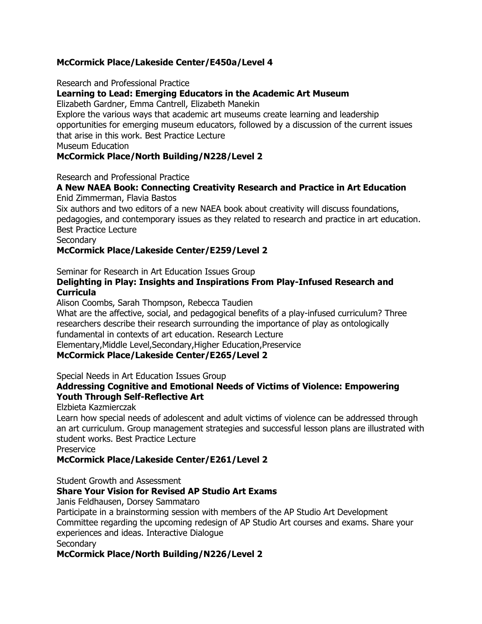#### **McCormick Place/Lakeside Center/E450a/Level 4**

Research and Professional Practice

#### **Learning to Lead: Emerging Educators in the Academic Art Museum**

Elizabeth Gardner, Emma Cantrell, Elizabeth Manekin

Explore the various ways that academic art museums create learning and leadership opportunities for emerging museum educators, followed by a discussion of the current issues that arise in this work. Best Practice Lecture

Museum Education

#### **McCormick Place/North Building/N228/Level 2**

Research and Professional Practice

# **A New NAEA Book: Connecting Creativity Research and Practice in Art Education**

Enid Zimmerman, Flavia Bastos

Six authors and two editors of a new NAEA book about creativity will discuss foundations, pedagogies, and contemporary issues as they related to research and practice in art education. Best Practice Lecture

**Secondary** 

#### **McCormick Place/Lakeside Center/E259/Level 2**

Seminar for Research in Art Education Issues Group

#### **Delighting in Play: Insights and Inspirations From Play-Infused Research and Curricula**

Alison Coombs, Sarah Thompson, Rebecca Taudien

What are the affective, social, and pedagogical benefits of a play-infused curriculum? Three researchers describe their research surrounding the importance of play as ontologically fundamental in contexts of art education. Research Lecture Elementary,Middle Level,Secondary,Higher Education,Preservice

#### **McCormick Place/Lakeside Center/E265/Level 2**

Special Needs in Art Education Issues Group

#### **Addressing Cognitive and Emotional Needs of Victims of Violence: Empowering Youth Through Self-Reflective Art**

Elzbieta Kazmierczak

Learn how special needs of adolescent and adult victims of violence can be addressed through an art curriculum. Group management strategies and successful lesson plans are illustrated with student works. Best Practice Lecture

Preservice

#### **McCormick Place/Lakeside Center/E261/Level 2**

Student Growth and Assessment

#### **Share Your Vision for Revised AP Studio Art Exams**

Janis Feldhausen, Dorsey Sammataro

Participate in a brainstorming session with members of the AP Studio Art Development Committee regarding the upcoming redesign of AP Studio Art courses and exams. Share your experiences and ideas. Interactive Dialogue **Secondary** 

#### **McCormick Place/North Building/N226/Level 2**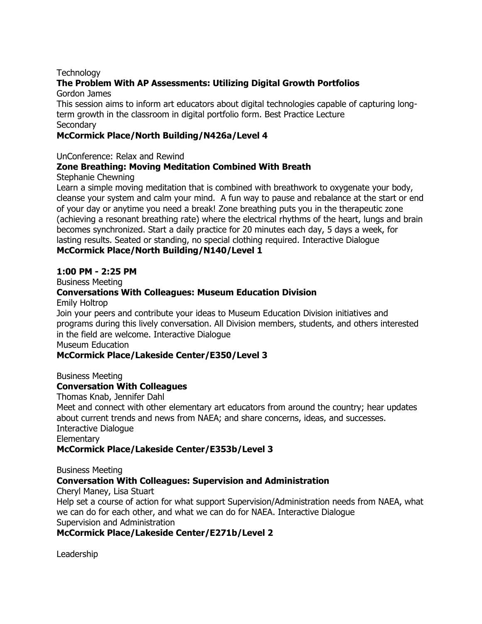#### **Technology**

#### **The Problem With AP Assessments: Utilizing Digital Growth Portfolios**

Gordon James

This session aims to inform art educators about digital technologies capable of capturing longterm growth in the classroom in digital portfolio form. Best Practice Lecture **Secondary** 

#### **McCormick Place/North Building/N426a/Level 4**

UnConference: Relax and Rewind

#### **Zone Breathing: Moving Meditation Combined With Breath**

Stephanie Chewning

Learn a simple moving meditation that is combined with breathwork to oxygenate your body, cleanse your system and calm your mind. A fun way to pause and rebalance at the start or end of your day or anytime you need a break! Zone breathing puts you in the therapeutic zone (achieving a resonant breathing rate) where the electrical rhythms of the heart, lungs and brain becomes synchronized. Start a daily practice for 20 minutes each day, 5 days a week, for lasting results. Seated or standing, no special clothing required. Interactive Dialogue **McCormick Place/North Building/N140/Level 1**

#### **1:00 PM - 2:25 PM**

Business Meeting

#### **Conversations With Colleagues: Museum Education Division**

Emily Holtrop

Join your peers and contribute your ideas to Museum Education Division initiatives and programs during this lively conversation. All Division members, students, and others interested in the field are welcome. Interactive Dialogue

Museum Education

#### **McCormick Place/Lakeside Center/E350/Level 3**

Business Meeting

#### **Conversation With Colleagues**

Thomas Knab, Jennifer Dahl

Meet and connect with other elementary art educators from around the country; hear updates about current trends and news from NAEA; and share concerns, ideas, and successes. Interactive Dialogue **Elementary** 

#### **McCormick Place/Lakeside Center/E353b/Level 3**

Business Meeting

#### **Conversation With Colleagues: Supervision and Administration**

Cheryl Maney, Lisa Stuart

Help set a course of action for what support Supervision/Administration needs from NAEA, what we can do for each other, and what we can do for NAEA. Interactive Dialogue Supervision and Administration

### **McCormick Place/Lakeside Center/E271b/Level 2**

Leadership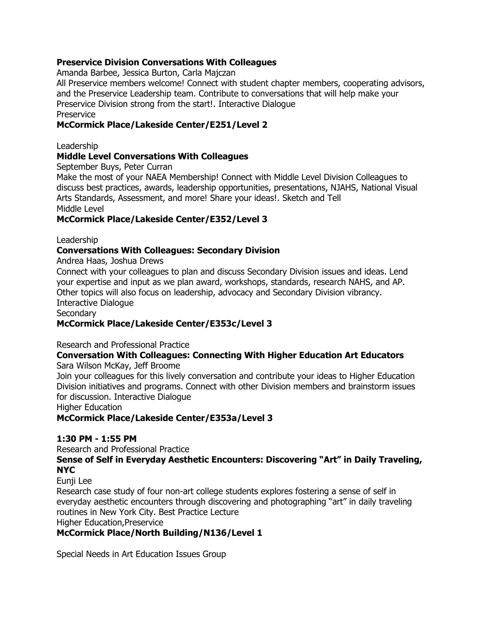#### **Preservice Division Conversations With Colleagues**

Amanda Barbee, Jessica Burton, Carla Majczan

All Preservice members welcome! Connect with student chapter members, cooperating advisors, and the Preservice Leadership team. Contribute to conversations that will help make your Preservice Division strong from the start!. Interactive Dialogue **Preservice** 

#### **McCormick Place/Lakeside Center/E251/Level 2**

Leadership

#### **Middle Level Conversations With Colleagues**

September Buys, Peter Curran

Make the most of your NAEA Membership! Connect with Middle Level Division Colleagues to discuss best practices, awards, leadership opportunities, presentations, NJAHS, National Visual Arts Standards, Assessment, and more! Share your ideas!. Sketch and Tell Middle Level

#### **McCormick Place/Lakeside Center/E352/Level 3**

Leadership

### **Conversations With Colleagues: Secondary Division**

Andrea Haas, Joshua Drews

Connect with your colleagues to plan and discuss Secondary Division issues and ideas. Lend your expertise and input as we plan award, workshops, standards, research NAHS, and AP. Other topics will also focus on leadership, advocacy and Secondary Division vibrancy. Interactive Dialogue

**Secondary** 

#### **McCormick Place/Lakeside Center/E353c/Level 3**

Research and Professional Practice

#### **Conversation With Colleagues: Connecting With Higher Education Art Educators** Sara Wilson McKay, Jeff Broome

Join your colleagues for this lively conversation and contribute your ideas to Higher Education Division initiatives and programs. Connect with other Division members and brainstorm issues for discussion. Interactive Dialogue

Higher Education

**McCormick Place/Lakeside Center/E353a/Level 3**

#### **1:30 PM - 1:55 PM**

Research and Professional Practice

Sense of Self in Everyday Aesthetic Encounters: Discovering "Art" in Daily Traveling, **NYC**

Eunji Lee

Research case study of four non-art college students explores fostering a sense of self in everyday aesthetic encounters through discovering and photographing "art" in daily traveling routines in New York City. Best Practice Lecture Higher Education,Preservice

**McCormick Place/North Building/N136/Level 1**

Special Needs in Art Education Issues Group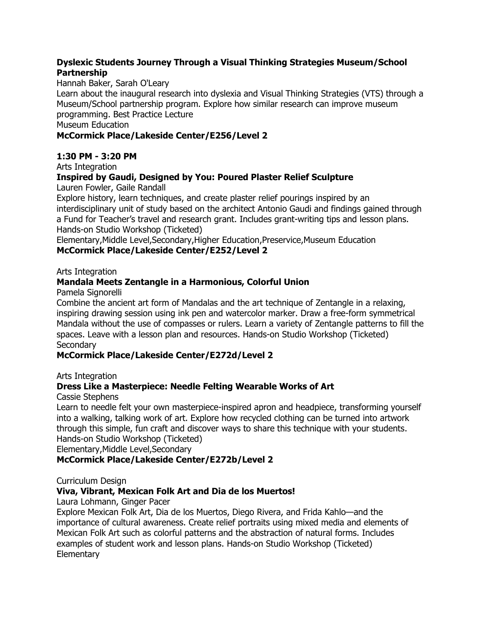#### **Dyslexic Students Journey Through a Visual Thinking Strategies Museum/School Partnership**

#### Hannah Baker, Sarah O'Leary

Learn about the inaugural research into dyslexia and Visual Thinking Strategies (VTS) through a Museum/School partnership program. Explore how similar research can improve museum programming. Best Practice Lecture

Museum Education

#### **McCormick Place/Lakeside Center/E256/Level 2**

#### **1:30 PM - 3:20 PM**

Arts Integration

#### **Inspired by Gaudi, Designed by You: Poured Plaster Relief Sculpture**

Lauren Fowler, Gaile Randall

Explore history, learn techniques, and create plaster relief pourings inspired by an interdisciplinary unit of study based on the architect Antonio Gaudi and findings gained through a Fund for Teacher"s travel and research grant. Includes grant-writing tips and lesson plans. Hands-on Studio Workshop (Ticketed)

Elementary,Middle Level,Secondary,Higher Education,Preservice,Museum Education **McCormick Place/Lakeside Center/E252/Level 2**

Arts Integration

### **Mandala Meets Zentangle in a Harmonious, Colorful Union**

Pamela Signorelli

Combine the ancient art form of Mandalas and the art technique of Zentangle in a relaxing, inspiring drawing session using ink pen and watercolor marker. Draw a free-form symmetrical Mandala without the use of compasses or rulers. Learn a variety of Zentangle patterns to fill the spaces. Leave with a lesson plan and resources. Hands-on Studio Workshop (Ticketed) **Secondary** 

#### **McCormick Place/Lakeside Center/E272d/Level 2**

#### Arts Integration

### **Dress Like a Masterpiece: Needle Felting Wearable Works of Art**

Cassie Stephens

Learn to needle felt your own masterpiece-inspired apron and headpiece, transforming yourself into a walking, talking work of art. Explore how recycled clothing can be turned into artwork through this simple, fun craft and discover ways to share this technique with your students. Hands-on Studio Workshop (Ticketed)

Elementary,Middle Level,Secondary

### **McCormick Place/Lakeside Center/E272b/Level 2**

Curriculum Design

#### **Viva, Vibrant, Mexican Folk Art and Dia de los Muertos!**

Laura Lohmann, Ginger Pacer

Explore Mexican Folk Art, Dia de los Muertos, Diego Rivera, and Frida Kahlo—and the importance of cultural awareness. Create relief portraits using mixed media and elements of Mexican Folk Art such as colorful patterns and the abstraction of natural forms. Includes examples of student work and lesson plans. Hands-on Studio Workshop (Ticketed) **Elementary**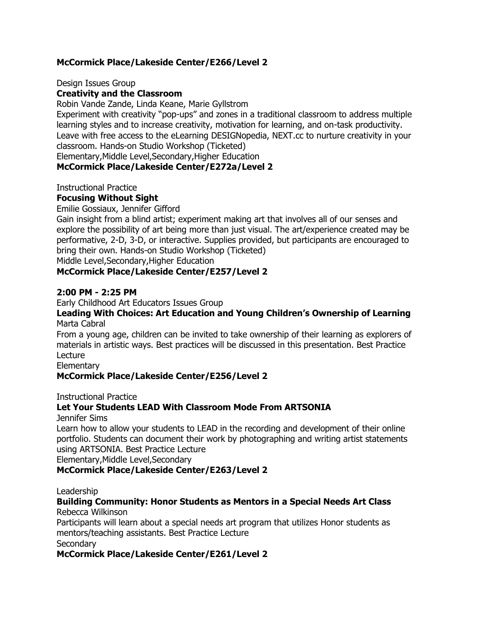#### **McCormick Place/Lakeside Center/E266/Level 2**

Design Issues Group

#### **Creativity and the Classroom**

Robin Vande Zande, Linda Keane, Marie Gyllstrom

Experiment with creativity "pop-ups" and zones in a traditional classroom to address multiple learning styles and to increase creativity, motivation for learning, and on-task productivity. Leave with free access to the eLearning DESIGNopedia, NEXT.cc to nurture creativity in your classroom. Hands-on Studio Workshop (Ticketed)

Elementary,Middle Level,Secondary,Higher Education

#### **McCormick Place/Lakeside Center/E272a/Level 2**

Instructional Practice

#### **Focusing Without Sight**

Emilie Gossiaux, Jennifer Gifford

Gain insight from a blind artist; experiment making art that involves all of our senses and explore the possibility of art being more than just visual. The art/experience created may be performative, 2-D, 3-D, or interactive. Supplies provided, but participants are encouraged to bring their own. Hands-on Studio Workshop (Ticketed)

Middle Level,Secondary,Higher Education

#### **McCormick Place/Lakeside Center/E257/Level 2**

#### **2:00 PM - 2:25 PM**

Early Childhood Art Educators Issues Group

#### **Leading With Choices: Art Education and Young Children's Ownership of Learning** Marta Cabral

From a young age, children can be invited to take ownership of their learning as explorers of materials in artistic ways. Best practices will be discussed in this presentation. Best Practice Lecture

**Elementary** 

#### **McCormick Place/Lakeside Center/E256/Level 2**

Instructional Practice

#### **Let Your Students LEAD With Classroom Mode From ARTSONIA**

Jennifer Sims

Learn how to allow your students to LEAD in the recording and development of their online portfolio. Students can document their work by photographing and writing artist statements using ARTSONIA. Best Practice Lecture

Elementary,Middle Level,Secondary

#### **McCormick Place/Lakeside Center/E263/Level 2**

Leadership

#### **Building Community: Honor Students as Mentors in a Special Needs Art Class** Rebecca Wilkinson

Participants will learn about a special needs art program that utilizes Honor students as mentors/teaching assistants. Best Practice Lecture **Secondary** 

#### **McCormick Place/Lakeside Center/E261/Level 2**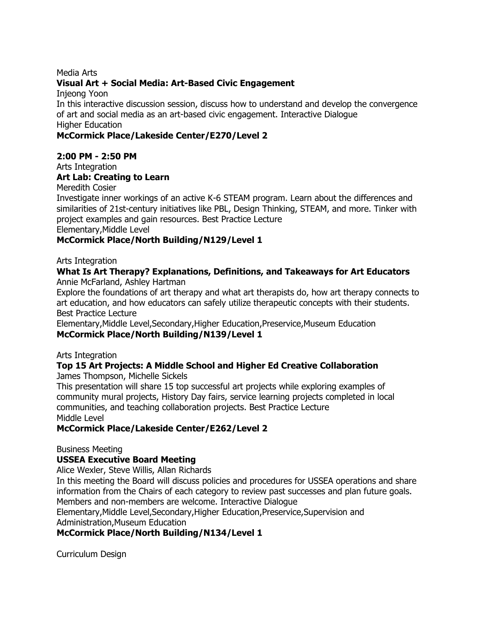#### Media Arts

#### **Visual Art + Social Media: Art-Based Civic Engagement**

Injeong Yoon

In this interactive discussion session, discuss how to understand and develop the convergence of art and social media as an art-based civic engagement. Interactive Dialogue Higher Education

#### **McCormick Place/Lakeside Center/E270/Level 2**

#### **2:00 PM - 2:50 PM**

Arts Integration

### **Art Lab: Creating to Learn**

Meredith Cosier

Investigate inner workings of an active K-6 STEAM program. Learn about the differences and similarities of 21st-century initiatives like PBL, Design Thinking, STEAM, and more. Tinker with project examples and gain resources. Best Practice Lecture

Elementary,Middle Level

#### **McCormick Place/North Building/N129/Level 1**

Arts Integration

#### **What Is Art Therapy? Explanations, Definitions, and Takeaways for Art Educators** Annie McFarland, Ashley Hartman

Explore the foundations of art therapy and what art therapists do, how art therapy connects to art education, and how educators can safely utilize therapeutic concepts with their students. Best Practice Lecture

Elementary,Middle Level,Secondary,Higher Education,Preservice,Museum Education **McCormick Place/North Building/N139/Level 1**

Arts Integration

# **Top 15 Art Projects: A Middle School and Higher Ed Creative Collaboration**

James Thompson, Michelle Sickels

This presentation will share 15 top successful art projects while exploring examples of community mural projects, History Day fairs, service learning projects completed in local communities, and teaching collaboration projects. Best Practice Lecture Middle Level

#### **McCormick Place/Lakeside Center/E262/Level 2**

Business Meeting

### **USSEA Executive Board Meeting**

Alice Wexler, Steve Willis, Allan Richards

In this meeting the Board will discuss policies and procedures for USSEA operations and share information from the Chairs of each category to review past successes and plan future goals. Members and non-members are welcome. Interactive Dialogue

Elementary,Middle Level,Secondary,Higher Education,Preservice,Supervision and Administration,Museum Education

### **McCormick Place/North Building/N134/Level 1**

Curriculum Design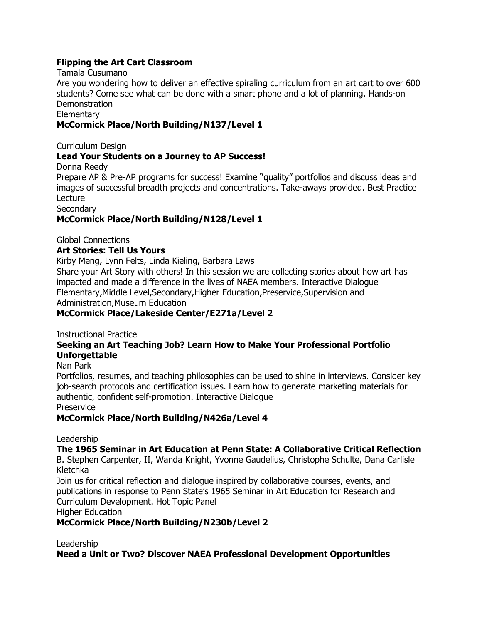#### **Flipping the Art Cart Classroom**

Tamala Cusumano

Are you wondering how to deliver an effective spiraling curriculum from an art cart to over 600 students? Come see what can be done with a smart phone and a lot of planning. Hands-on **Demonstration** 

#### **Elementary**

#### **McCormick Place/North Building/N137/Level 1**

Curriculum Design

#### **Lead Your Students on a Journey to AP Success!**

Donna Reedy

Prepare AP & Pre-AP programs for success! Examine "quality" portfolios and discuss ideas and images of successful breadth projects and concentrations. Take-aways provided. Best Practice Lecture

**Secondary** 

#### **McCormick Place/North Building/N128/Level 1**

Global Connections

#### **Art Stories: Tell Us Yours**

Kirby Meng, Lynn Felts, Linda Kieling, Barbara Laws

Share your Art Story with others! In this session we are collecting stories about how art has impacted and made a difference in the lives of NAEA members. Interactive Dialogue Elementary,Middle Level,Secondary,Higher Education,Preservice,Supervision and Administration,Museum Education

#### **McCormick Place/Lakeside Center/E271a/Level 2**

#### Instructional Practice

#### **Seeking an Art Teaching Job? Learn How to Make Your Professional Portfolio Unforgettable**

Nan Park

Portfolios, resumes, and teaching philosophies can be used to shine in interviews. Consider key job-search protocols and certification issues. Learn how to generate marketing materials for authentic, confident self-promotion. Interactive Dialogue

**Preservice** 

#### **McCormick Place/North Building/N426a/Level 4**

Leadership

### **The 1965 Seminar in Art Education at Penn State: A Collaborative Critical Reflection**

B. Stephen Carpenter, II, Wanda Knight, Yvonne Gaudelius, Christophe Schulte, Dana Carlisle Kletchka

Join us for critical reflection and dialogue inspired by collaborative courses, events, and publications in response to Penn State"s 1965 Seminar in Art Education for Research and Curriculum Development. Hot Topic Panel

Higher Education

#### **McCormick Place/North Building/N230b/Level 2**

Leadership

#### **Need a Unit or Two? Discover NAEA Professional Development Opportunities**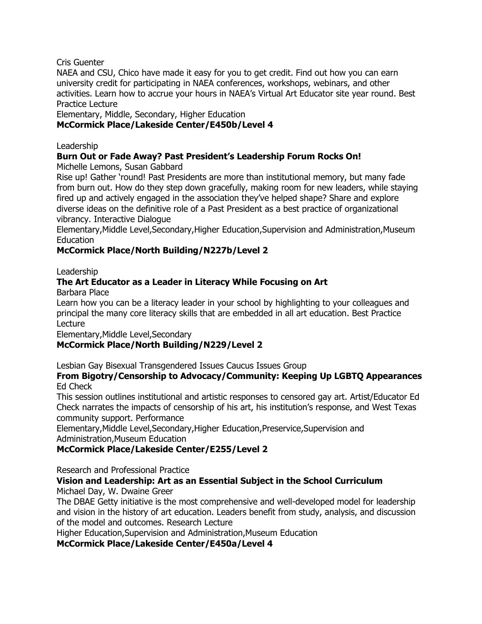Cris Guenter

NAEA and CSU, Chico have made it easy for you to get credit. Find out how you can earn university credit for participating in NAEA conferences, workshops, webinars, and other activities. Learn how to accrue your hours in NAEA"s Virtual Art Educator site year round. Best Practice Lecture

Elementary, Middle, Secondary, Higher Education

#### **McCormick Place/Lakeside Center/E450b/Level 4**

#### Leadership

### **Burn Out or Fade Away? Past President's Leadership Forum Rocks On!**

Michelle Lemons, Susan Gabbard

Rise up! Gather "round! Past Presidents are more than institutional memory, but many fade from burn out. How do they step down gracefully, making room for new leaders, while staying fired up and actively engaged in the association they"ve helped shape? Share and explore diverse ideas on the definitive role of a Past President as a best practice of organizational vibrancy. Interactive Dialogue

Elementary,Middle Level,Secondary,Higher Education,Supervision and Administration,Museum Education

#### **McCormick Place/North Building/N227b/Level 2**

Leadership

# **The Art Educator as a Leader in Literacy While Focusing on Art**

Barbara Place

Learn how you can be a literacy leader in your school by highlighting to your colleagues and principal the many core literacy skills that are embedded in all art education. Best Practice Lecture

Elementary,Middle Level,Secondary

### **McCormick Place/North Building/N229/Level 2**

Lesbian Gay Bisexual Transgendered Issues Caucus Issues Group

#### **From Bigotry/Censorship to Advocacy/Community: Keeping Up LGBTQ Appearances** Ed Check

This session outlines institutional and artistic responses to censored gay art. Artist/Educator Ed Check narrates the impacts of censorship of his art, his institution"s response, and West Texas community support. Performance

Elementary,Middle Level,Secondary,Higher Education,Preservice,Supervision and Administration,Museum Education

#### **McCormick Place/Lakeside Center/E255/Level 2**

Research and Professional Practice

#### **Vision and Leadership: Art as an Essential Subject in the School Curriculum**

Michael Day, W. Dwaine Greer

The DBAE Getty initiative is the most comprehensive and well-developed model for leadership and vision in the history of art education. Leaders benefit from study, analysis, and discussion of the model and outcomes. Research Lecture

Higher Education,Supervision and Administration,Museum Education

**McCormick Place/Lakeside Center/E450a/Level 4**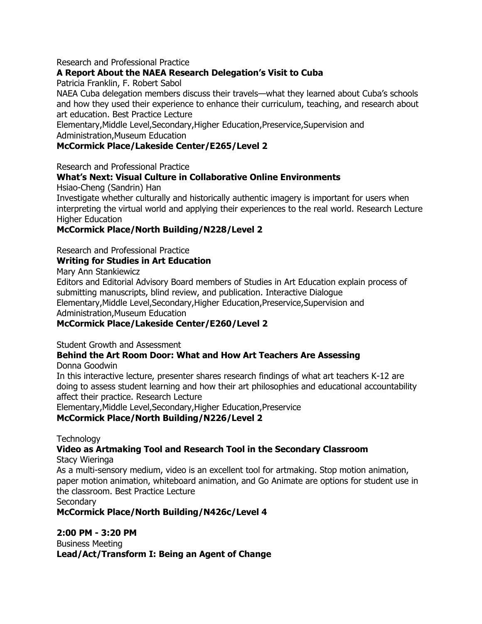#### Research and Professional Practice

#### **A Report About the NAEA Research Delegation's Visit to Cuba**

Patricia Franklin, F. Robert Sabol

NAEA Cuba delegation members discuss their travels—what they learned about Cuba"s schools and how they used their experience to enhance their curriculum, teaching, and research about art education. Best Practice Lecture

Elementary,Middle Level,Secondary,Higher Education,Preservice,Supervision and Administration,Museum Education

#### **McCormick Place/Lakeside Center/E265/Level 2**

Research and Professional Practice

#### **What's Next: Visual Culture in Collaborative Online Environments**

Hsiao-Cheng (Sandrin) Han

Investigate whether culturally and historically authentic imagery is important for users when interpreting the virtual world and applying their experiences to the real world. Research Lecture Higher Education

#### **McCormick Place/North Building/N228/Level 2**

Research and Professional Practice

#### **Writing for Studies in Art Education**

Mary Ann Stankiewicz

Editors and Editorial Advisory Board members of Studies in Art Education explain process of submitting manuscripts, blind review, and publication. Interactive Dialogue Elementary,Middle Level,Secondary,Higher Education,Preservice,Supervision and Administration,Museum Education

#### **McCormick Place/Lakeside Center/E260/Level 2**

Student Growth and Assessment

# **Behind the Art Room Door: What and How Art Teachers Are Assessing**

Donna Goodwin

In this interactive lecture, presenter shares research findings of what art teachers K-12 are doing to assess student learning and how their art philosophies and educational accountability affect their practice. Research Lecture

Elementary,Middle Level,Secondary,Higher Education,Preservice

**McCormick Place/North Building/N226/Level 2**

**Technology** 

#### **Video as Artmaking Tool and Research Tool in the Secondary Classroom**

Stacy Wieringa

As a multi-sensory medium, video is an excellent tool for artmaking. Stop motion animation, paper motion animation, whiteboard animation, and Go Animate are options for student use in the classroom. Best Practice Lecture

**Secondary** 

**McCormick Place/North Building/N426c/Level 4**

**2:00 PM - 3:20 PM** Business Meeting **Lead/Act/Transform I: Being an Agent of Change**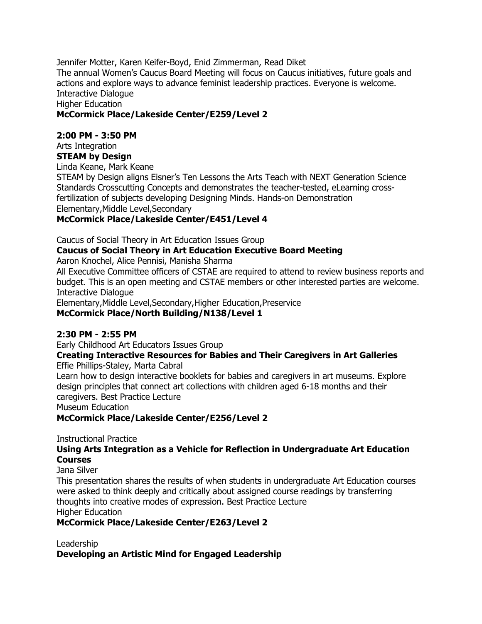Jennifer Motter, Karen Keifer-Boyd, Enid Zimmerman, Read Diket The annual Women"s Caucus Board Meeting will focus on Caucus initiatives, future goals and actions and explore ways to advance feminist leadership practices. Everyone is welcome. Interactive Dialogue Higher Education

#### **McCormick Place/Lakeside Center/E259/Level 2**

#### **2:00 PM - 3:50 PM**

Arts Integration

**STEAM by Design** Linda Keane, Mark Keane

STEAM by Design aligns Eisner"s Ten Lessons the Arts Teach with NEXT Generation Science Standards Crosscutting Concepts and demonstrates the teacher-tested, eLearning crossfertilization of subjects developing Designing Minds. Hands-on Demonstration Elementary,Middle Level,Secondary

#### **McCormick Place/Lakeside Center/E451/Level 4**

Caucus of Social Theory in Art Education Issues Group **Caucus of Social Theory in Art Education Executive Board Meeting** Aaron Knochel, Alice Pennisi, Manisha Sharma

All Executive Committee officers of CSTAE are required to attend to review business reports and budget. This is an open meeting and CSTAE members or other interested parties are welcome. Interactive Dialogue

Elementary,Middle Level,Secondary,Higher Education,Preservice **McCormick Place/North Building/N138/Level 1**

#### **2:30 PM - 2:55 PM**

Early Childhood Art Educators Issues Group

**Creating Interactive Resources for Babies and Their Caregivers in Art Galleries** Effie Phillips-Staley, Marta Cabral

Learn how to design interactive booklets for babies and caregivers in art museums. Explore design principles that connect art collections with children aged 6-18 months and their caregivers. Best Practice Lecture

Museum Education

**McCormick Place/Lakeside Center/E256/Level 2**

Instructional Practice

#### **Using Arts Integration as a Vehicle for Reflection in Undergraduate Art Education Courses**

Jana Silver

This presentation shares the results of when students in undergraduate Art Education courses were asked to think deeply and critically about assigned course readings by transferring thoughts into creative modes of expression. Best Practice Lecture Higher Education

#### **McCormick Place/Lakeside Center/E263/Level 2**

Leadership **Developing an Artistic Mind for Engaged Leadership**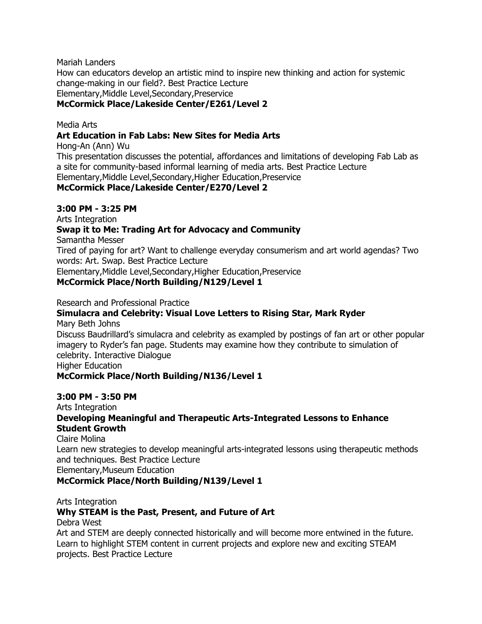Mariah Landers How can educators develop an artistic mind to inspire new thinking and action for systemic change-making in our field?. Best Practice Lecture Elementary,Middle Level,Secondary,Preservice **McCormick Place/Lakeside Center/E261/Level 2**

Media Arts

#### **Art Education in Fab Labs: New Sites for Media Arts**

Hong-An (Ann) Wu

This presentation discusses the potential, affordances and limitations of developing Fab Lab as a site for community-based informal learning of media arts. Best Practice Lecture Elementary,Middle Level,Secondary,Higher Education,Preservice

#### **McCormick Place/Lakeside Center/E270/Level 2**

#### **3:00 PM - 3:25 PM**

Arts Integration

#### **Swap it to Me: Trading Art for Advocacy and Community**

Samantha Messer

Tired of paying for art? Want to challenge everyday consumerism and art world agendas? Two words: Art. Swap. Best Practice Lecture

Elementary,Middle Level,Secondary,Higher Education,Preservice

#### **McCormick Place/North Building/N129/Level 1**

Research and Professional Practice

#### **Simulacra and Celebrity: Visual Love Letters to Rising Star, Mark Ryder**

Mary Beth Johns

Discuss Baudrillard"s simulacra and celebrity as exampled by postings of fan art or other popular imagery to Ryder"s fan page. Students may examine how they contribute to simulation of celebrity. Interactive Dialogue

Higher Education

#### **McCormick Place/North Building/N136/Level 1**

#### **3:00 PM - 3:50 PM**

Arts Integration

#### **Developing Meaningful and Therapeutic Arts-Integrated Lessons to Enhance Student Growth**

Claire Molina

Learn new strategies to develop meaningful arts-integrated lessons using therapeutic methods and techniques. Best Practice Lecture

Elementary,Museum Education

**McCormick Place/North Building/N139/Level 1**

Arts Integration

#### **Why STEAM is the Past, Present, and Future of Art**

Debra West

Art and STEM are deeply connected historically and will become more entwined in the future. Learn to highlight STEM content in current projects and explore new and exciting STEAM projects. Best Practice Lecture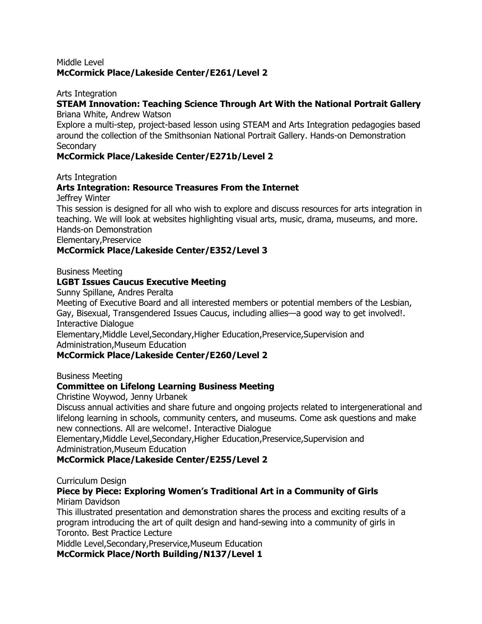#### Middle Level **McCormick Place/Lakeside Center/E261/Level 2**

#### Arts Integration

#### **STEAM Innovation: Teaching Science Through Art With the National Portrait Gallery** Briana White, Andrew Watson

Explore a multi-step, project-based lesson using STEAM and Arts Integration pedagogies based around the collection of the Smithsonian National Portrait Gallery. Hands-on Demonstration **Secondary** 

#### **McCormick Place/Lakeside Center/E271b/Level 2**

Arts Integration

#### **Arts Integration: Resource Treasures From the Internet**

Jeffrey Winter

This session is designed for all who wish to explore and discuss resources for arts integration in teaching. We will look at websites highlighting visual arts, music, drama, museums, and more. Hands-on Demonstration

Elementary,Preservice

#### **McCormick Place/Lakeside Center/E352/Level 3**

Business Meeting

#### **LGBT Issues Caucus Executive Meeting**

Sunny Spillane, Andres Peralta

Meeting of Executive Board and all interested members or potential members of the Lesbian, Gay, Bisexual, Transgendered Issues Caucus, including allies—a good way to get involved!. Interactive Dialogue

Elementary,Middle Level,Secondary,Higher Education,Preservice,Supervision and Administration,Museum Education

#### **McCormick Place/Lakeside Center/E260/Level 2**

Business Meeting

#### **Committee on Lifelong Learning Business Meeting**

Christine Woywod, Jenny Urbanek

Discuss annual activities and share future and ongoing projects related to intergenerational and lifelong learning in schools, community centers, and museums. Come ask questions and make new connections. All are welcome!. Interactive Dialogue

Elementary,Middle Level,Secondary,Higher Education,Preservice,Supervision and Administration,Museum Education

#### **McCormick Place/Lakeside Center/E255/Level 2**

Curriculum Design

#### **Piece by Piece: Exploring Women's Traditional Art in a Community of Girls** Miriam Davidson

This illustrated presentation and demonstration shares the process and exciting results of a program introducing the art of quilt design and hand-sewing into a community of girls in Toronto. Best Practice Lecture

Middle Level,Secondary,Preservice,Museum Education

**McCormick Place/North Building/N137/Level 1**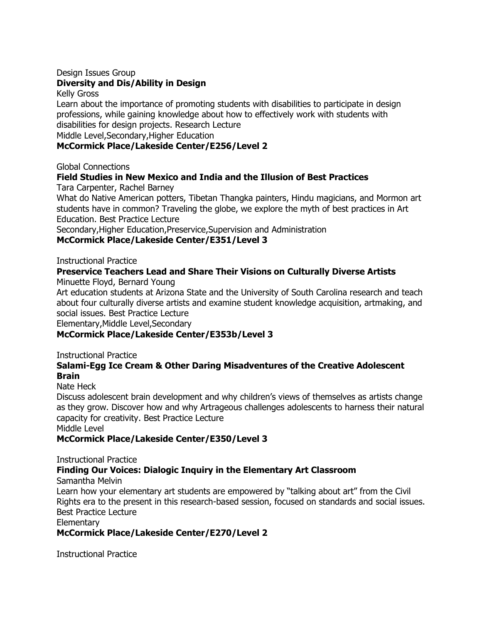# Design Issues Group

#### **Diversity and Dis/Ability in Design**

Kelly Gross

Learn about the importance of promoting students with disabilities to participate in design professions, while gaining knowledge about how to effectively work with students with disabilities for design projects. Research Lecture Middle Level,Secondary,Higher Education

#### **McCormick Place/Lakeside Center/E256/Level 2**

Global Connections

### **Field Studies in New Mexico and India and the Illusion of Best Practices**

Tara Carpenter, Rachel Barney

What do Native American potters, Tibetan Thangka painters, Hindu magicians, and Mormon art students have in common? Traveling the globe, we explore the myth of best practices in Art Education. Best Practice Lecture

Secondary,Higher Education,Preservice,Supervision and Administration

#### **McCormick Place/Lakeside Center/E351/Level 3**

Instructional Practice

# **Preservice Teachers Lead and Share Their Visions on Culturally Diverse Artists**

Minuette Floyd, Bernard Young

Art education students at Arizona State and the University of South Carolina research and teach about four culturally diverse artists and examine student knowledge acquisition, artmaking, and social issues. Best Practice Lecture

Elementary,Middle Level,Secondary

#### **McCormick Place/Lakeside Center/E353b/Level 3**

Instructional Practice

#### **Salami-Egg Ice Cream & Other Daring Misadventures of the Creative Adolescent Brain**

#### Nate Heck

Discuss adolescent brain development and why children"s views of themselves as artists change as they grow. Discover how and why Artrageous challenges adolescents to harness their natural capacity for creativity. Best Practice Lecture

Middle Level

#### **McCormick Place/Lakeside Center/E350/Level 3**

Instructional Practice

### **Finding Our Voices: Dialogic Inquiry in the Elementary Art Classroom**

Samantha Melvin

Learn how your elementary art students are empowered by "talking about art" from the Civil Rights era to the present in this research-based session, focused on standards and social issues. Best Practice Lecture

**Elementary** 

**McCormick Place/Lakeside Center/E270/Level 2**

Instructional Practice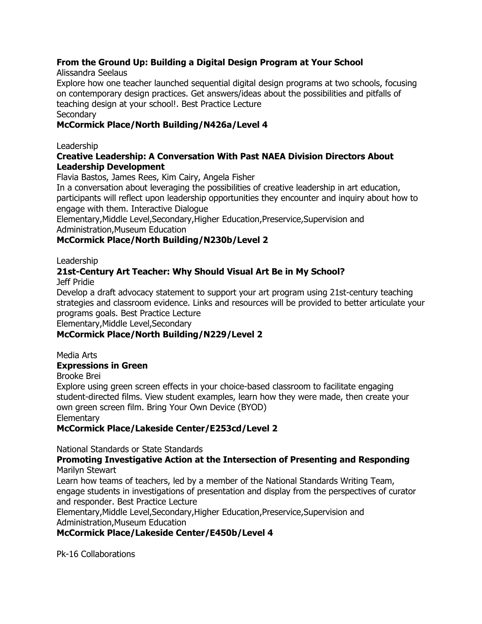### **From the Ground Up: Building a Digital Design Program at Your School**

Alissandra Seelaus

Explore how one teacher launched sequential digital design programs at two schools, focusing on contemporary design practices. Get answers/ideas about the possibilities and pitfalls of teaching design at your school!. Best Practice Lecture **Secondary** 

# **McCormick Place/North Building/N426a/Level 4**

#### Leadership

#### **Creative Leadership: A Conversation With Past NAEA Division Directors About Leadership Development**

Flavia Bastos, James Rees, Kim Cairy, Angela Fisher

In a conversation about leveraging the possibilities of creative leadership in art education, participants will reflect upon leadership opportunities they encounter and inquiry about how to engage with them. Interactive Dialogue

Elementary,Middle Level,Secondary,Higher Education,Preservice,Supervision and Administration,Museum Education

# **McCormick Place/North Building/N230b/Level 2**

#### Leadership

#### **21st-Century Art Teacher: Why Should Visual Art Be in My School?** Jeff Pridie

Develop a draft advocacy statement to support your art program using 21st-century teaching strategies and classroom evidence. Links and resources will be provided to better articulate your programs goals. Best Practice Lecture

Elementary,Middle Level,Secondary

### **McCormick Place/North Building/N229/Level 2**

Media Arts

### **Expressions in Green**

Brooke Brei

Explore using green screen effects in your choice-based classroom to facilitate engaging student-directed films. View student examples, learn how they were made, then create your own green screen film. Bring Your Own Device (BYOD)

Elementary

### **McCormick Place/Lakeside Center/E253cd/Level 2**

National Standards or State Standards

**Promoting Investigative Action at the Intersection of Presenting and Responding** Marilyn Stewart

Learn how teams of teachers, led by a member of the National Standards Writing Team, engage students in investigations of presentation and display from the perspectives of curator and responder. Best Practice Lecture

Elementary,Middle Level,Secondary,Higher Education,Preservice,Supervision and Administration,Museum Education

### **McCormick Place/Lakeside Center/E450b/Level 4**

Pk-16 Collaborations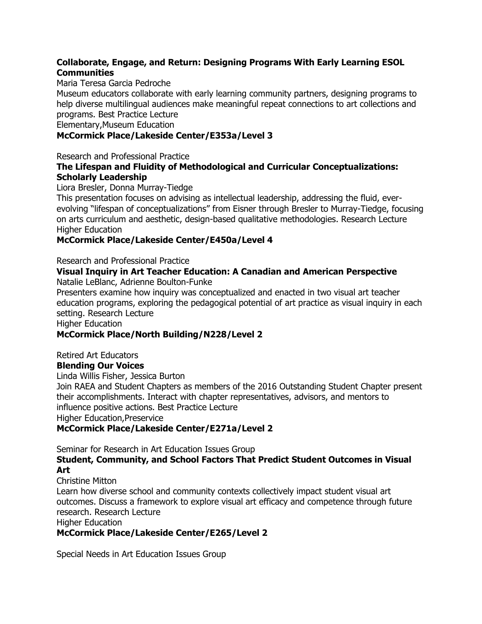#### **Collaborate, Engage, and Return: Designing Programs With Early Learning ESOL Communities**

#### Maria Teresa Garcia Pedroche

Museum educators collaborate with early learning community partners, designing programs to help diverse multilingual audiences make meaningful repeat connections to art collections and programs. Best Practice Lecture

Elementary,Museum Education

#### **McCormick Place/Lakeside Center/E353a/Level 3**

Research and Professional Practice

#### **The Lifespan and Fluidity of Methodological and Curricular Conceptualizations: Scholarly Leadership**

Liora Bresler, Donna Murray-Tiedge

This presentation focuses on advising as intellectual leadership, addressing the fluid, everevolving "lifespan of conceptualizations" from Eisner through Bresler to Murray-Tiedge, focusing on arts curriculum and aesthetic, design-based qualitative methodologies. Research Lecture Higher Education

#### **McCormick Place/Lakeside Center/E450a/Level 4**

Research and Professional Practice

#### **Visual Inquiry in Art Teacher Education: A Canadian and American Perspective** Natalie LeBlanc, Adrienne Boulton-Funke

Presenters examine how inquiry was conceptualized and enacted in two visual art teacher education programs, exploring the pedagogical potential of art practice as visual inquiry in each setting. Research Lecture

Higher Education

#### **McCormick Place/North Building/N228/Level 2**

Retired Art Educators

#### **Blending Our Voices**

Linda Willis Fisher, Jessica Burton

Join RAEA and Student Chapters as members of the 2016 Outstanding Student Chapter present their accomplishments. Interact with chapter representatives, advisors, and mentors to influence positive actions. Best Practice Lecture Higher Education,Preservice

#### **McCormick Place/Lakeside Center/E271a/Level 2**

Seminar for Research in Art Education Issues Group

#### **Student, Community, and School Factors That Predict Student Outcomes in Visual Art**

Christine Mitton Learn how diverse school and community contexts collectively impact student visual art outcomes. Discuss a framework to explore visual art efficacy and competence through future research. Research Lecture

Higher Education

#### **McCormick Place/Lakeside Center/E265/Level 2**

Special Needs in Art Education Issues Group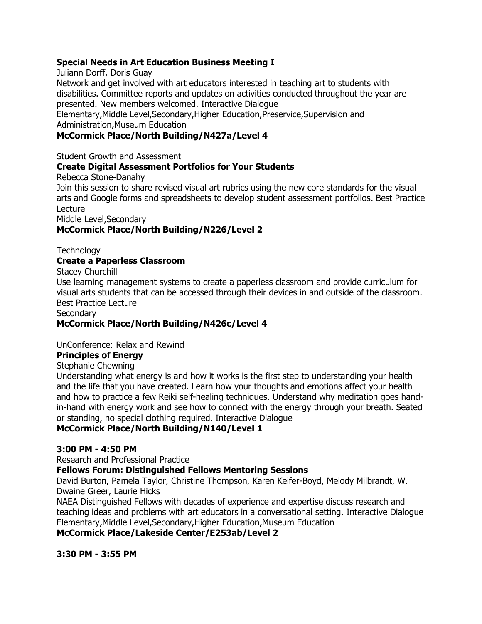#### **Special Needs in Art Education Business Meeting I**

Juliann Dorff, Doris Guay

Network and get involved with art educators interested in teaching art to students with disabilities. Committee reports and updates on activities conducted throughout the year are presented. New members welcomed. Interactive Dialogue

Elementary,Middle Level,Secondary,Higher Education,Preservice,Supervision and Administration,Museum Education

#### **McCormick Place/North Building/N427a/Level 4**

Student Growth and Assessment

#### **Create Digital Assessment Portfolios for Your Students**

Rebecca Stone-Danahy

Join this session to share revised visual art rubrics using the new core standards for the visual arts and Google forms and spreadsheets to develop student assessment portfolios. Best Practice Lecture

Middle Level,Secondary

#### **McCormick Place/North Building/N226/Level 2**

**Technology** 

#### **Create a Paperless Classroom**

Stacey Churchill

Use learning management systems to create a paperless classroom and provide curriculum for visual arts students that can be accessed through their devices in and outside of the classroom. Best Practice Lecture

**Secondary** 

#### **McCormick Place/North Building/N426c/Level 4**

UnConference: Relax and Rewind

#### **Principles of Energy**

Stephanie Chewning

Understanding what energy is and how it works is the first step to understanding your health and the life that you have created. Learn how your thoughts and emotions affect your health and how to practice a few Reiki self-healing techniques. Understand why meditation goes handin-hand with energy work and see how to connect with the energy through your breath. Seated or standing, no special clothing required. Interactive Dialogue

#### **McCormick Place/North Building/N140/Level 1**

#### **3:00 PM - 4:50 PM**

Research and Professional Practice

#### **Fellows Forum: Distinguished Fellows Mentoring Sessions**

David Burton, Pamela Taylor, Christine Thompson, Karen Keifer-Boyd, Melody Milbrandt, W. Dwaine Greer, Laurie Hicks

NAEA Distinguished Fellows with decades of experience and expertise discuss research and teaching ideas and problems with art educators in a conversational setting. Interactive Dialogue Elementary,Middle Level,Secondary,Higher Education,Museum Education

**McCormick Place/Lakeside Center/E253ab/Level 2**

**3:30 PM - 3:55 PM**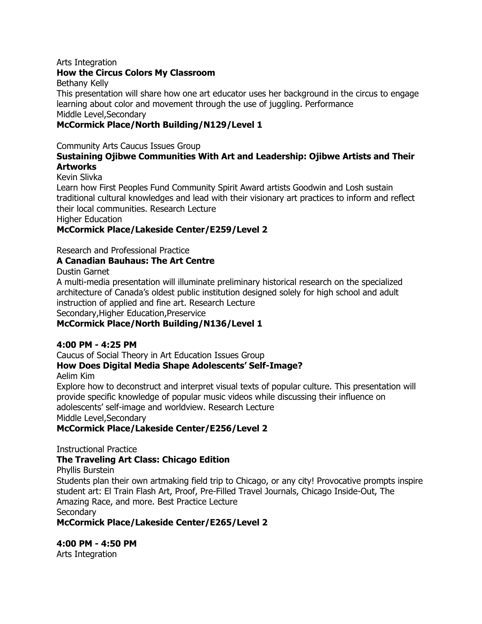#### Arts Integration

#### **How the Circus Colors My Classroom**

Bethany Kelly

This presentation will share how one art educator uses her background in the circus to engage learning about color and movement through the use of juggling. Performance Middle Level,Secondary

#### **McCormick Place/North Building/N129/Level 1**

Community Arts Caucus Issues Group

#### **Sustaining Ojibwe Communities With Art and Leadership: Ojibwe Artists and Their Artworks**

Kevin Slivka

Learn how First Peoples Fund Community Spirit Award artists Goodwin and Losh sustain traditional cultural knowledges and lead with their visionary art practices to inform and reflect their local communities. Research Lecture

Higher Education

#### **McCormick Place/Lakeside Center/E259/Level 2**

Research and Professional Practice

#### **A Canadian Bauhaus: The Art Centre**

Dustin Garnet

A multi-media presentation will illuminate preliminary historical research on the specialized architecture of Canada"s oldest public institution designed solely for high school and adult instruction of applied and fine art. Research Lecture Secondary,Higher Education,Preservice

#### **McCormick Place/North Building/N136/Level 1**

#### **4:00 PM - 4:25 PM**

Caucus of Social Theory in Art Education Issues Group

#### **How Does Digital Media Shape Adolescents' Self-Image?**

Aelim Kim

Explore how to deconstruct and interpret visual texts of popular culture. This presentation will provide specific knowledge of popular music videos while discussing their influence on adolescents" self-image and worldview. Research Lecture Middle Level,Secondary

#### **McCormick Place/Lakeside Center/E256/Level 2**

Instructional Practice

#### **The Traveling Art Class: Chicago Edition**

Phyllis Burstein Students plan their own artmaking field trip to Chicago, or any city! Provocative prompts inspire student art: El Train Flash Art, Proof, Pre-Filled Travel Journals, Chicago Inside-Out, The Amazing Race, and more. Best Practice Lecture **Secondary** 

**McCormick Place/Lakeside Center/E265/Level 2**

**4:00 PM - 4:50 PM**

Arts Integration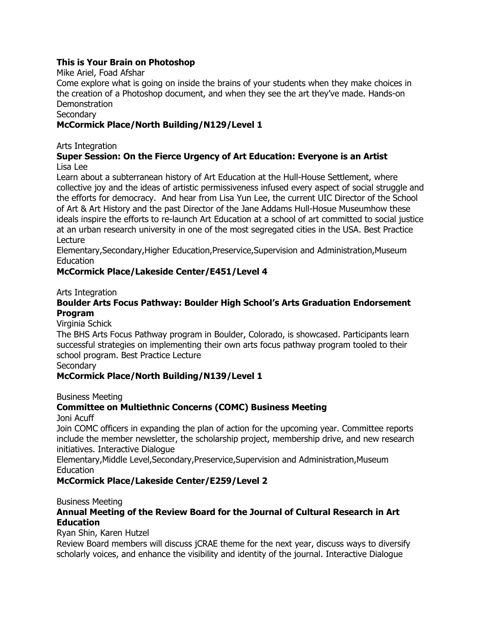#### **This is Your Brain on Photoshop**

#### Mike Ariel, Foad Afshar

Come explore what is going on inside the brains of your students when they make choices in the creation of a Photoshop document, and when they see the art they"ve made. Hands-on **Demonstration** 

#### **Secondary**

#### **McCormick Place/North Building/N129/Level 1**

Arts Integration

#### **Super Session: On the Fierce Urgency of Art Education: Everyone is an Artist** Lisa Lee

Learn about a subterranean history of Art Education at the Hull-House Settlement, where collective joy and the ideas of artistic permissiveness infused every aspect of social struggle and the efforts for democracy. And hear from Lisa Yun Lee, the current UIC Director of the School of Art & Art History and the past Director of the Jane Addams Hull-Hosue Museumhow these ideals inspire the efforts to re-launch Art Education at a school of art committed to social justice at an urban research university in one of the most segregated cities in the USA. Best Practice Lecture

Elementary,Secondary,Higher Education,Preservice,Supervision and Administration,Museum **Education** 

#### **McCormick Place/Lakeside Center/E451/Level 4**

Arts Integration

#### **Boulder Arts Focus Pathway: Boulder High School's Arts Graduation Endorsement Program**

Virginia Schick

The BHS Arts Focus Pathway program in Boulder, Colorado, is showcased. Participants learn successful strategies on implementing their own arts focus pathway program tooled to their school program. Best Practice Lecture

**Secondary** 

#### **McCormick Place/North Building/N139/Level 1**

Business Meeting

### **Committee on Multiethnic Concerns (COMC) Business Meeting**

Joni Acuff

Join COMC officers in expanding the plan of action for the upcoming year. Committee reports include the member newsletter, the scholarship project, membership drive, and new research initiatives. Interactive Dialogue

Elementary,Middle Level,Secondary,Preservice,Supervision and Administration,Museum Education

#### **McCormick Place/Lakeside Center/E259/Level 2**

Business Meeting

#### **Annual Meeting of the Review Board for the Journal of Cultural Research in Art Education**

Ryan Shin, Karen Hutzel

Review Board members will discuss jCRAE theme for the next year, discuss ways to diversify scholarly voices, and enhance the visibility and identity of the journal. Interactive Dialogue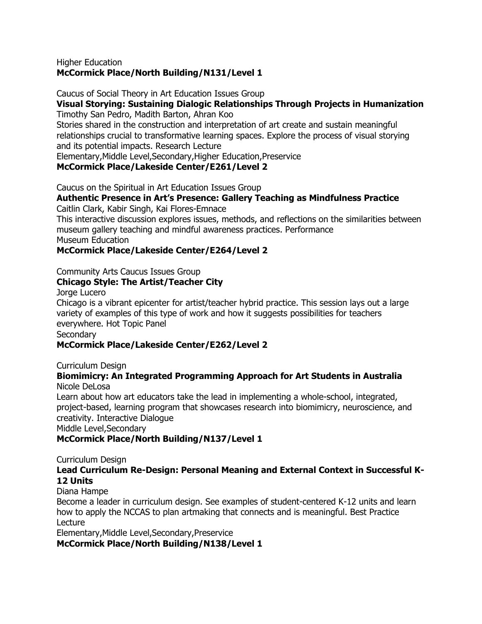#### Higher Education **McCormick Place/North Building/N131/Level 1**

Caucus of Social Theory in Art Education Issues Group

# **Visual Storying: Sustaining Dialogic Relationships Through Projects in Humanization**

Timothy San Pedro, Madith Barton, Ahran Koo

Stories shared in the construction and interpretation of art create and sustain meaningful relationships crucial to transformative learning spaces. Explore the process of visual storying and its potential impacts. Research Lecture

Elementary,Middle Level,Secondary,Higher Education,Preservice

#### **McCormick Place/Lakeside Center/E261/Level 2**

Caucus on the Spiritual in Art Education Issues Group

# **Authentic Presence in Art's Presence: Gallery Teaching as Mindfulness Practice**

Caitlin Clark, Kabir Singh, Kai Flores-Emnace

This interactive discussion explores issues, methods, and reflections on the similarities between museum gallery teaching and mindful awareness practices. Performance Museum Education

#### **McCormick Place/Lakeside Center/E264/Level 2**

#### Community Arts Caucus Issues Group

#### **Chicago Style: The Artist/Teacher City**

Jorge Lucero

Chicago is a vibrant epicenter for artist/teacher hybrid practice. This session lays out a large variety of examples of this type of work and how it suggests possibilities for teachers everywhere. Hot Topic Panel

# **Secondary**

#### **McCormick Place/Lakeside Center/E262/Level 2**

#### Curriculum Design

#### **Biomimicry: An Integrated Programming Approach for Art Students in Australia** Nicole DeLosa

Learn about how art educators take the lead in implementing a whole-school, integrated, project-based, learning program that showcases research into biomimicry, neuroscience, and creativity. Interactive Dialogue

Middle Level,Secondary

#### **McCormick Place/North Building/N137/Level 1**

Curriculum Design

#### **Lead Curriculum Re-Design: Personal Meaning and External Context in Successful K-12 Units**

#### Diana Hampe

Become a leader in curriculum design. See examples of student-centered K-12 units and learn how to apply the NCCAS to plan artmaking that connects and is meaningful. Best Practice Lecture

Elementary,Middle Level,Secondary,Preservice

**McCormick Place/North Building/N138/Level 1**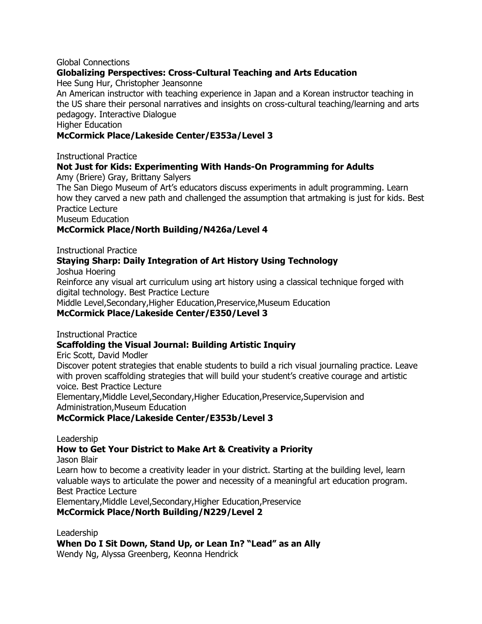#### Global Connections

#### **Globalizing Perspectives: Cross-Cultural Teaching and Arts Education**

Hee Sung Hur, Christopher Jeansonne

An American instructor with teaching experience in Japan and a Korean instructor teaching in the US share their personal narratives and insights on cross-cultural teaching/learning and arts pedagogy. Interactive Dialogue

Higher Education

#### **McCormick Place/Lakeside Center/E353a/Level 3**

Instructional Practice

# **Not Just for Kids: Experimenting With Hands-On Programming for Adults**

Amy (Briere) Gray, Brittany Salyers

The San Diego Museum of Art"s educators discuss experiments in adult programming. Learn how they carved a new path and challenged the assumption that artmaking is just for kids. Best Practice Lecture

Museum Education

#### **McCormick Place/North Building/N426a/Level 4**

Instructional Practice

#### **Staying Sharp: Daily Integration of Art History Using Technology**

Joshua Hoering

Reinforce any visual art curriculum using art history using a classical technique forged with digital technology. Best Practice Lecture

Middle Level,Secondary,Higher Education,Preservice,Museum Education

#### **McCormick Place/Lakeside Center/E350/Level 3**

Instructional Practice

#### **Scaffolding the Visual Journal: Building Artistic Inquiry**

Eric Scott, David Modler

Discover potent strategies that enable students to build a rich visual journaling practice. Leave with proven scaffolding strategies that will build your student's creative courage and artistic voice. Best Practice Lecture

Elementary,Middle Level,Secondary,Higher Education,Preservice,Supervision and Administration,Museum Education

#### **McCormick Place/Lakeside Center/E353b/Level 3**

Leadership

#### **How to Get Your District to Make Art & Creativity a Priority**

Jason Blair

Learn how to become a creativity leader in your district. Starting at the building level, learn valuable ways to articulate the power and necessity of a meaningful art education program. Best Practice Lecture

Elementary,Middle Level,Secondary,Higher Education,Preservice

#### **McCormick Place/North Building/N229/Level 2**

Leadership

When Do I Sit Down, Stand Up, or Lean In? "Lead" as an Ally

Wendy Ng, Alyssa Greenberg, Keonna Hendrick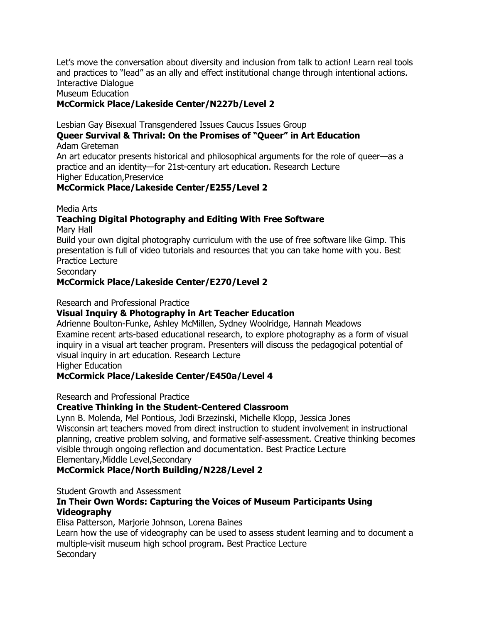Let"s move the conversation about diversity and inclusion from talk to action! Learn real tools and practices to "lead" as an ally and effect institutional change through intentional actions. Interactive Dialogue

#### Museum Education

#### **McCormick Place/Lakeside Center/N227b/Level 2**

Lesbian Gay Bisexual Transgendered Issues Caucus Issues Group

# **Queer Survival & Thrival: On the Promises of ―Queer‖ in Art Education**

Adam Greteman

An art educator presents historical and philosophical arguments for the role of queer—as a practice and an identity—for 21st-century art education. Research Lecture Higher Education,Preservice

#### **McCormick Place/Lakeside Center/E255/Level 2**

Media Arts

### **Teaching Digital Photography and Editing With Free Software**

Mary Hall

Build your own digital photography curriculum with the use of free software like Gimp. This presentation is full of video tutorials and resources that you can take home with you. Best Practice Lecture

**Secondary** 

#### **McCormick Place/Lakeside Center/E270/Level 2**

Research and Professional Practice

#### **Visual Inquiry & Photography in Art Teacher Education**

Adrienne Boulton-Funke, Ashley McMillen, Sydney Woolridge, Hannah Meadows Examine recent arts-based educational research, to explore photography as a form of visual inquiry in a visual art teacher program. Presenters will discuss the pedagogical potential of visual inquiry in art education. Research Lecture

Higher Education

#### **McCormick Place/Lakeside Center/E450a/Level 4**

Research and Professional Practice

#### **Creative Thinking in the Student-Centered Classroom**

Lynn B. Molenda, Mel Pontious, Jodi Brzezinski, Michelle Klopp, Jessica Jones Wisconsin art teachers moved from direct instruction to student involvement in instructional planning, creative problem solving, and formative self-assessment. Creative thinking becomes visible through ongoing reflection and documentation. Best Practice Lecture Elementary,Middle Level,Secondary

#### **McCormick Place/North Building/N228/Level 2**

Student Growth and Assessment

#### **In Their Own Words: Capturing the Voices of Museum Participants Using Videography**

Elisa Patterson, Marjorie Johnson, Lorena Baines

Learn how the use of videography can be used to assess student learning and to document a multiple-visit museum high school program. Best Practice Lecture **Secondary**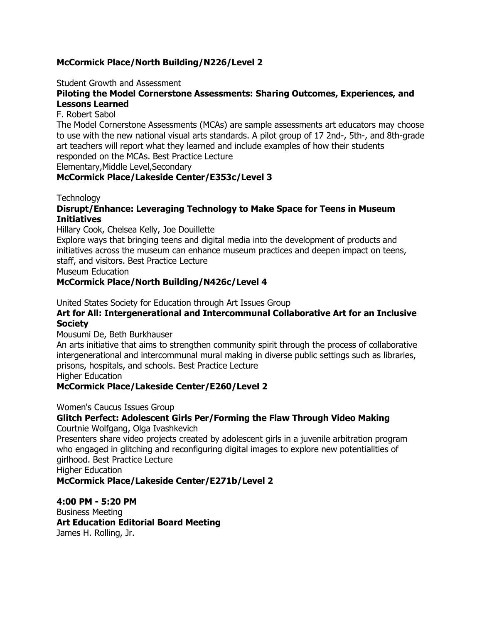#### **McCormick Place/North Building/N226/Level 2**

Student Growth and Assessment

#### **Piloting the Model Cornerstone Assessments: Sharing Outcomes, Experiences, and Lessons Learned**

#### F. Robert Sabol

The Model Cornerstone Assessments (MCAs) are sample assessments art educators may choose to use with the new national visual arts standards. A pilot group of 17 2nd-, 5th-, and 8th-grade art teachers will report what they learned and include examples of how their students responded on the MCAs. Best Practice Lecture

Elementary,Middle Level,Secondary

#### **McCormick Place/Lakeside Center/E353c/Level 3**

#### **Technology**

#### **Disrupt/Enhance: Leveraging Technology to Make Space for Teens in Museum Initiatives**

Hillary Cook, Chelsea Kelly, Joe Douillette

Explore ways that bringing teens and digital media into the development of products and initiatives across the museum can enhance museum practices and deepen impact on teens, staff, and visitors. Best Practice Lecture

Museum Education

#### **McCormick Place/North Building/N426c/Level 4**

United States Society for Education through Art Issues Group

#### **Art for All: Intergenerational and Intercommunal Collaborative Art for an Inclusive Society**

#### Mousumi De, Beth Burkhauser

An arts initiative that aims to strengthen community spirit through the process of collaborative intergenerational and intercommunal mural making in diverse public settings such as libraries, prisons, hospitals, and schools. Best Practice Lecture

Higher Education

#### **McCormick Place/Lakeside Center/E260/Level 2**

Women's Caucus Issues Group

#### **Glitch Perfect: Adolescent Girls Per/Forming the Flaw Through Video Making**

Courtnie Wolfgang, Olga Ivashkevich

Presenters share video projects created by adolescent girls in a juvenile arbitration program who engaged in glitching and reconfiguring digital images to explore new potentialities of girlhood. Best Practice Lecture

Higher Education

#### **McCormick Place/Lakeside Center/E271b/Level 2**

#### **4:00 PM - 5:20 PM**

Business Meeting **Art Education Editorial Board Meeting** James H. Rolling, Jr.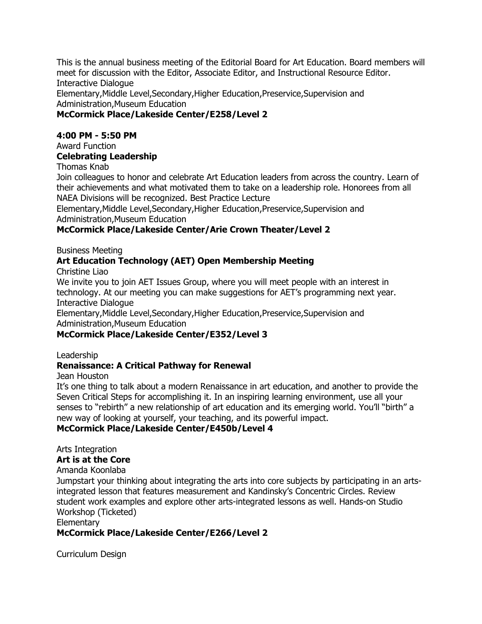This is the annual business meeting of the Editorial Board for Art Education. Board members will meet for discussion with the Editor, Associate Editor, and Instructional Resource Editor. Interactive Dialogue

Elementary,Middle Level,Secondary,Higher Education,Preservice,Supervision and Administration,Museum Education

#### **McCormick Place/Lakeside Center/E258/Level 2**

#### **4:00 PM - 5:50 PM**

#### Award Function

#### **Celebrating Leadership**

Thomas Knab

Join colleagues to honor and celebrate Art Education leaders from across the country. Learn of their achievements and what motivated them to take on a leadership role. Honorees from all NAEA Divisions will be recognized. Best Practice Lecture

Elementary,Middle Level,Secondary,Higher Education,Preservice,Supervision and Administration,Museum Education

#### **McCormick Place/Lakeside Center/Arie Crown Theater/Level 2**

Business Meeting

#### **Art Education Technology (AET) Open Membership Meeting**

Christine Liao

We invite you to join AET Issues Group, where you will meet people with an interest in technology. At our meeting you can make suggestions for AET"s programming next year. Interactive Dialogue

Elementary,Middle Level,Secondary,Higher Education,Preservice,Supervision and Administration,Museum Education

#### **McCormick Place/Lakeside Center/E352/Level 3**

Leadership

#### **Renaissance: A Critical Pathway for Renewal**

Jean Houston

It"s one thing to talk about a modern Renaissance in art education, and another to provide the Seven Critical Steps for accomplishing it. In an inspiring learning environment, use all your senses to "rebirth" a new relationship of art education and its emerging world. You'll "birth" a new way of looking at yourself, your teaching, and its powerful impact.

### **McCormick Place/Lakeside Center/E450b/Level 4**

Arts Integration **Art is at the Core**

Amanda Koonlaba

Jumpstart your thinking about integrating the arts into core subjects by participating in an artsintegrated lesson that features measurement and Kandinsky"s Concentric Circles. Review student work examples and explore other arts-integrated lessons as well. Hands-on Studio Workshop (Ticketed)

**Elementary** 

### **McCormick Place/Lakeside Center/E266/Level 2**

Curriculum Design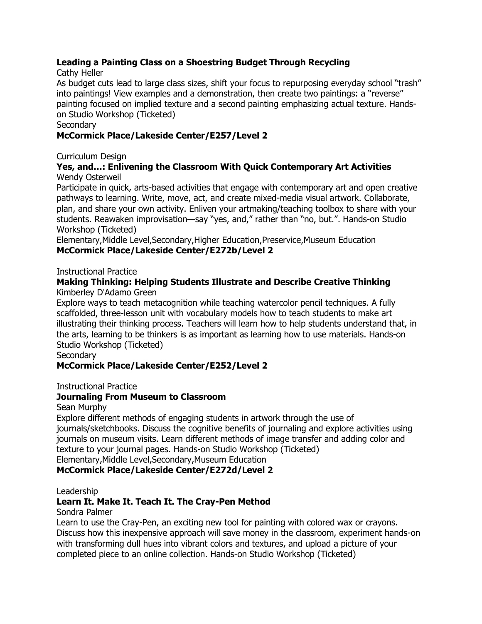#### **Leading a Painting Class on a Shoestring Budget Through Recycling**

#### Cathy Heller

As budget cuts lead to large class sizes, shift your focus to repurposing everyday school "trash" into paintings! View examples and a demonstration, then create two paintings: a "reverse" painting focused on implied texture and a second painting emphasizing actual texture. Handson Studio Workshop (Ticketed)

#### **Secondary**

#### **McCormick Place/Lakeside Center/E257/Level 2**

Curriculum Design

#### **Yes, and…: Enlivening the Classroom With Quick Contemporary Art Activities** Wendy Osterweil

Participate in quick, arts-based activities that engage with contemporary art and open creative pathways to learning. Write, move, act, and create mixed-media visual artwork. Collaborate, plan, and share your own activity. Enliven your artmaking/teaching toolbox to share with your students. Reawaken improvisation—say "yes, and," rather than "no, but.". Hands-on Studio Workshop (Ticketed)

Elementary,Middle Level,Secondary,Higher Education,Preservice,Museum Education **McCormick Place/Lakeside Center/E272b/Level 2**

Instructional Practice

#### **Making Thinking: Helping Students Illustrate and Describe Creative Thinking** Kimberley D'Adamo Green

Explore ways to teach metacognition while teaching watercolor pencil techniques. A fully scaffolded, three-lesson unit with vocabulary models how to teach students to make art illustrating their thinking process. Teachers will learn how to help students understand that, in the arts, learning to be thinkers is as important as learning how to use materials. Hands-on Studio Workshop (Ticketed)

**Secondary** 

### **McCormick Place/Lakeside Center/E252/Level 2**

Instructional Practice

#### **Journaling From Museum to Classroom**

Sean Murphy

Explore different methods of engaging students in artwork through the use of journals/sketchbooks. Discuss the cognitive benefits of journaling and explore activities using journals on museum visits. Learn different methods of image transfer and adding color and texture to your journal pages. Hands-on Studio Workshop (Ticketed) Elementary,Middle Level,Secondary,Museum Education

#### **McCormick Place/Lakeside Center/E272d/Level 2**

#### Leadership

### **Learn It. Make It. Teach It. The Cray-Pen Method**

Sondra Palmer

Learn to use the Cray-Pen, an exciting new tool for painting with colored wax or crayons. Discuss how this inexpensive approach will save money in the classroom, experiment hands-on with transforming dull hues into vibrant colors and textures, and upload a picture of your completed piece to an online collection. Hands-on Studio Workshop (Ticketed)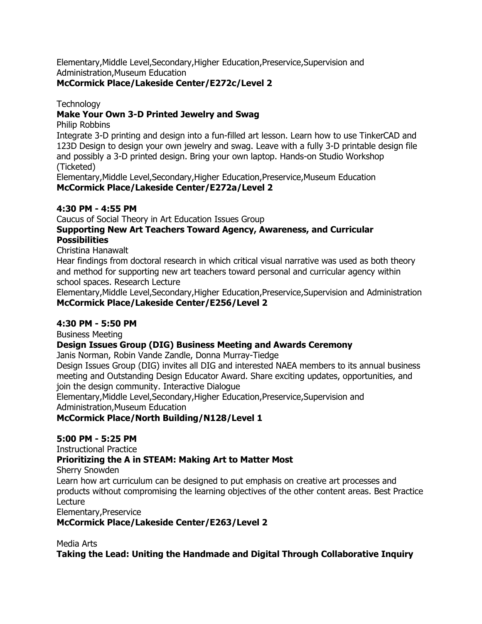Elementary,Middle Level,Secondary,Higher Education,Preservice,Supervision and Administration,Museum Education

#### **McCormick Place/Lakeside Center/E272c/Level 2**

**Technology** 

#### **Make Your Own 3-D Printed Jewelry and Swag**

Philip Robbins

Integrate 3-D printing and design into a fun-filled art lesson. Learn how to use TinkerCAD and 123D Design to design your own jewelry and swag. Leave with a fully 3-D printable design file and possibly a 3-D printed design. Bring your own laptop. Hands-on Studio Workshop (Ticketed)

Elementary,Middle Level,Secondary,Higher Education,Preservice,Museum Education **McCormick Place/Lakeside Center/E272a/Level 2**

#### **4:30 PM - 4:55 PM**

Caucus of Social Theory in Art Education Issues Group

#### **Supporting New Art Teachers Toward Agency, Awareness, and Curricular Possibilities**

Christina Hanawalt

Hear findings from doctoral research in which critical visual narrative was used as both theory and method for supporting new art teachers toward personal and curricular agency within school spaces. Research Lecture

Elementary,Middle Level,Secondary,Higher Education,Preservice,Supervision and Administration **McCormick Place/Lakeside Center/E256/Level 2**

#### **4:30 PM - 5:50 PM**

Business Meeting

#### **Design Issues Group (DIG) Business Meeting and Awards Ceremony**

Janis Norman, Robin Vande Zandle, Donna Murray-Tiedge

Design Issues Group (DIG) invites all DIG and interested NAEA members to its annual business meeting and Outstanding Design Educator Award. Share exciting updates, opportunities, and join the design community. Interactive Dialogue

Elementary,Middle Level,Secondary,Higher Education,Preservice,Supervision and Administration,Museum Education

**McCormick Place/North Building/N128/Level 1**

#### **5:00 PM - 5:25 PM**

Instructional Practice

#### **Prioritizing the A in STEAM: Making Art to Matter Most**

Sherry Snowden

Learn how art curriculum can be designed to put emphasis on creative art processes and products without compromising the learning objectives of the other content areas. Best Practice Lecture

Elementary,Preservice

**McCormick Place/Lakeside Center/E263/Level 2**

Media Arts

**Taking the Lead: Uniting the Handmade and Digital Through Collaborative Inquiry**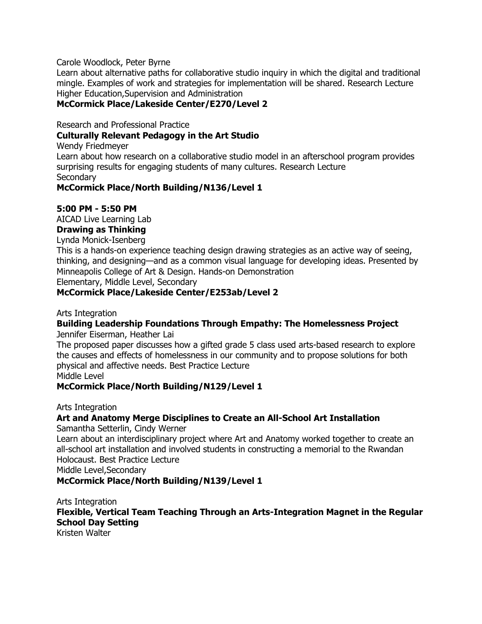#### Carole Woodlock, Peter Byrne

Learn about alternative paths for collaborative studio inquiry in which the digital and traditional mingle. Examples of work and strategies for implementation will be shared. Research Lecture Higher Education,Supervision and Administration

#### **McCormick Place/Lakeside Center/E270/Level 2**

Research and Professional Practice

#### **Culturally Relevant Pedagogy in the Art Studio**

Wendy Friedmeyer

Learn about how research on a collaborative studio model in an afterschool program provides surprising results for engaging students of many cultures. Research Lecture **Secondary** 

#### **McCormick Place/North Building/N136/Level 1**

#### **5:00 PM - 5:50 PM**

AICAD Live Learning Lab

# **Drawing as Thinking**

Lynda Monick-Isenberg

This is a hands-on experience teaching design drawing strategies as an active way of seeing, thinking, and designing—and as a common visual language for developing ideas. Presented by Minneapolis College of Art & Design. Hands-on Demonstration Elementary, Middle Level, Secondary

#### **McCormick Place/Lakeside Center/E253ab/Level 2**

Arts Integration

### **Building Leadership Foundations Through Empathy: The Homelessness Project**

Jennifer Eiserman, Heather Lai

The proposed paper discusses how a gifted grade 5 class used arts-based research to explore the causes and effects of homelessness in our community and to propose solutions for both physical and affective needs. Best Practice Lecture

Middle Level

#### **McCormick Place/North Building/N129/Level 1**

Arts Integration

### **Art and Anatomy Merge Disciplines to Create an All-School Art Installation**

Samantha Setterlin, Cindy Werner

Learn about an interdisciplinary project where Art and Anatomy worked together to create an all-school art installation and involved students in constructing a memorial to the Rwandan Holocaust. Best Practice Lecture

Middle Level,Secondary

#### **McCormick Place/North Building/N139/Level 1**

Arts Integration **Flexible, Vertical Team Teaching Through an Arts-Integration Magnet in the Regular School Day Setting** Kristen Walter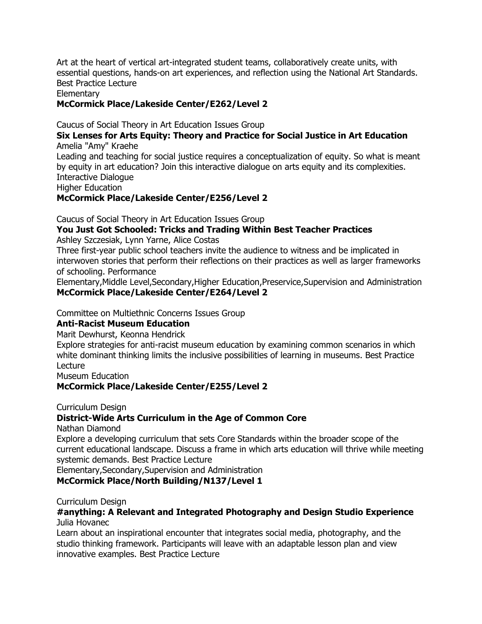Art at the heart of vertical art-integrated student teams, collaboratively create units, with essential questions, hands-on art experiences, and reflection using the National Art Standards. Best Practice Lecture

Elementary

**McCormick Place/Lakeside Center/E262/Level 2**

Caucus of Social Theory in Art Education Issues Group

#### **Six Lenses for Arts Equity: Theory and Practice for Social Justice in Art Education** Amelia "Amy" Kraehe

Leading and teaching for social justice requires a conceptualization of equity. So what is meant by equity in art education? Join this interactive dialogue on arts equity and its complexities. Interactive Dialogue

Higher Education

**McCormick Place/Lakeside Center/E256/Level 2**

Caucus of Social Theory in Art Education Issues Group

#### **You Just Got Schooled: Tricks and Trading Within Best Teacher Practices** Ashley Szczesiak, Lynn Yarne, Alice Costas

Three first-year public school teachers invite the audience to witness and be implicated in interwoven stories that perform their reflections on their practices as well as larger frameworks of schooling. Performance

Elementary,Middle Level,Secondary,Higher Education,Preservice,Supervision and Administration **McCormick Place/Lakeside Center/E264/Level 2**

Committee on Multiethnic Concerns Issues Group

#### **Anti-Racist Museum Education**

Marit Dewhurst, Keonna Hendrick

Explore strategies for anti-racist museum education by examining common scenarios in which white dominant thinking limits the inclusive possibilities of learning in museums. Best Practice Lecture

Museum Education

#### **McCormick Place/Lakeside Center/E255/Level 2**

Curriculum Design

#### **District-Wide Arts Curriculum in the Age of Common Core**

Nathan Diamond

Explore a developing curriculum that sets Core Standards within the broader scope of the current educational landscape. Discuss a frame in which arts education will thrive while meeting systemic demands. Best Practice Lecture

Elementary,Secondary,Supervision and Administration **McCormick Place/North Building/N137/Level 1**

Curriculum Design

#### **#anything: A Relevant and Integrated Photography and Design Studio Experience** Julia Hovanec

Learn about an inspirational encounter that integrates social media, photography, and the studio thinking framework. Participants will leave with an adaptable lesson plan and view innovative examples. Best Practice Lecture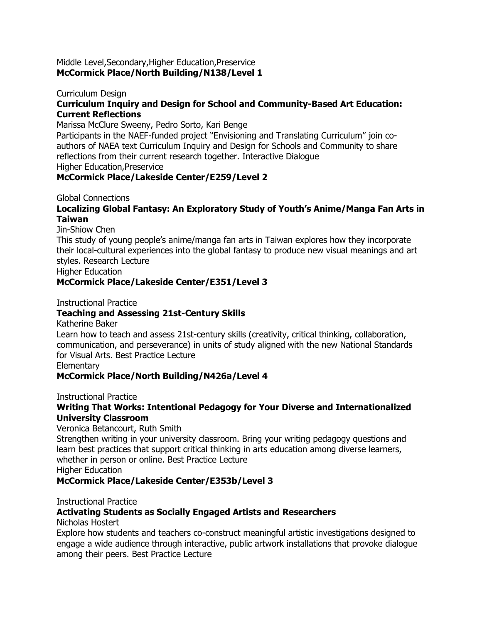#### Middle Level,Secondary,Higher Education,Preservice **McCormick Place/North Building/N138/Level 1**

#### Curriculum Design **Curriculum Inquiry and Design for School and Community-Based Art Education: Current Reflections**

Marissa McClure Sweeny, Pedro Sorto, Kari Benge

Participants in the NAEF-funded project "Envisioning and Translating Curriculum" join coauthors of NAEA text Curriculum Inquiry and Design for Schools and Community to share reflections from their current research together. Interactive Dialogue Higher Education,Preservice

# **McCormick Place/Lakeside Center/E259/Level 2**

Global Connections

#### **Localizing Global Fantasy: An Exploratory Study of Youth's Anime/Manga Fan Arts in Taiwan**

Jin-Shiow Chen

This study of young people"s anime/manga fan arts in Taiwan explores how they incorporate their local-cultural experiences into the global fantasy to produce new visual meanings and art styles. Research Lecture

Higher Education

#### **McCormick Place/Lakeside Center/E351/Level 3**

Instructional Practice

#### **Teaching and Assessing 21st-Century Skills**

Katherine Baker

Learn how to teach and assess 21st-century skills (creativity, critical thinking, collaboration, communication, and perseverance) in units of study aligned with the new National Standards for Visual Arts. Best Practice Lecture

**Elementary** 

#### **McCormick Place/North Building/N426a/Level 4**

Instructional Practice

#### **Writing That Works: Intentional Pedagogy for Your Diverse and Internationalized University Classroom**

Veronica Betancourt, Ruth Smith

Strengthen writing in your university classroom. Bring your writing pedagogy questions and learn best practices that support critical thinking in arts education among diverse learners, whether in person or online. Best Practice Lecture

Higher Education

#### **McCormick Place/Lakeside Center/E353b/Level 3**

Instructional Practice

#### **Activating Students as Socially Engaged Artists and Researchers**

Nicholas Hostert

Explore how students and teachers co-construct meaningful artistic investigations designed to engage a wide audience through interactive, public artwork installations that provoke dialogue among their peers. Best Practice Lecture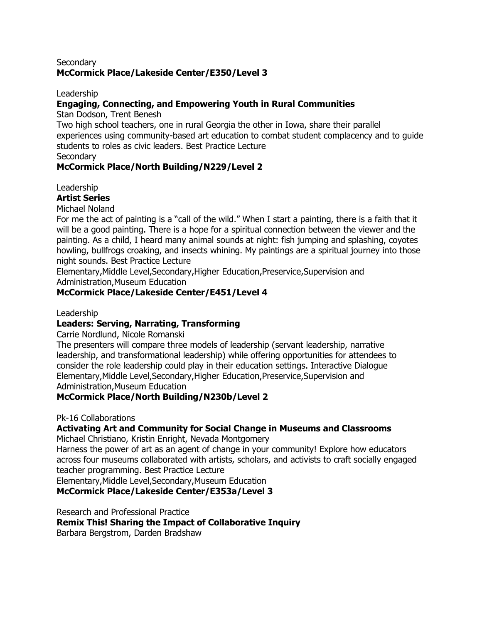#### **Secondary McCormick Place/Lakeside Center/E350/Level 3**

#### Leadership

#### **Engaging, Connecting, and Empowering Youth in Rural Communities**

Stan Dodson, Trent Benesh

Two high school teachers, one in rural Georgia the other in Iowa, share their parallel experiences using community-based art education to combat student complacency and to guide students to roles as civic leaders. Best Practice Lecture

**Secondary** 

#### **McCormick Place/North Building/N229/Level 2**

Leadership

#### **Artist Series**

Michael Noland

For me the act of painting is a "call of the wild." When I start a painting, there is a faith that it will be a good painting. There is a hope for a spiritual connection between the viewer and the painting. As a child, I heard many animal sounds at night: fish jumping and splashing, coyotes howling, bullfrogs croaking, and insects whining. My paintings are a spiritual journey into those night sounds. Best Practice Lecture

Elementary,Middle Level,Secondary,Higher Education,Preservice,Supervision and Administration,Museum Education

#### **McCormick Place/Lakeside Center/E451/Level 4**

#### Leadership

#### **Leaders: Serving, Narrating, Transforming**

Carrie Nordlund, Nicole Romanski

The presenters will compare three models of leadership (servant leadership, narrative leadership, and transformational leadership) while offering opportunities for attendees to consider the role leadership could play in their education settings. Interactive Dialogue Elementary,Middle Level,Secondary,Higher Education,Preservice,Supervision and Administration,Museum Education

#### **McCormick Place/North Building/N230b/Level 2**

#### Pk-16 Collaborations

# **Activating Art and Community for Social Change in Museums and Classrooms**

Michael Christiano, Kristin Enright, Nevada Montgomery

Harness the power of art as an agent of change in your community! Explore how educators across four museums collaborated with artists, scholars, and activists to craft socially engaged teacher programming. Best Practice Lecture

Elementary,Middle Level,Secondary,Museum Education

**McCormick Place/Lakeside Center/E353a/Level 3**

Research and Professional Practice

**Remix This! Sharing the Impact of Collaborative Inquiry**

Barbara Bergstrom, Darden Bradshaw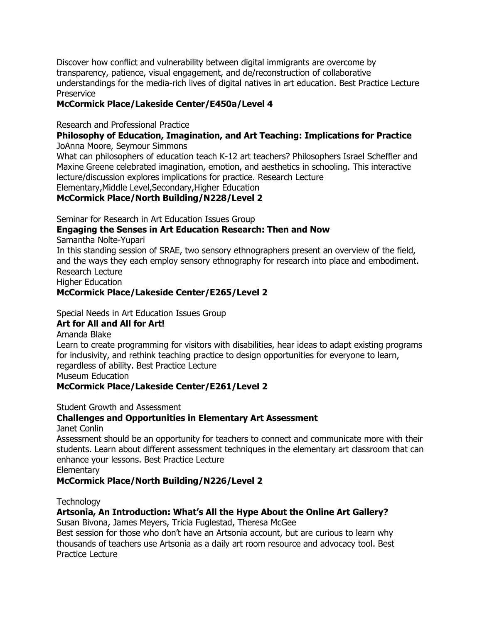Discover how conflict and vulnerability between digital immigrants are overcome by transparency, patience, visual engagement, and de/reconstruction of collaborative understandings for the media-rich lives of digital natives in art education. Best Practice Lecture Preservice

#### **McCormick Place/Lakeside Center/E450a/Level 4**

#### Research and Professional Practice

# **Philosophy of Education, Imagination, and Art Teaching: Implications for Practice**

JoAnna Moore, Seymour Simmons

What can philosophers of education teach K-12 art teachers? Philosophers Israel Scheffler and Maxine Greene celebrated imagination, emotion, and aesthetics in schooling. This interactive lecture/discussion explores implications for practice. Research Lecture

Elementary,Middle Level,Secondary,Higher Education

#### **McCormick Place/North Building/N228/Level 2**

Seminar for Research in Art Education Issues Group

# **Engaging the Senses in Art Education Research: Then and Now**

Samantha Nolte-Yupari

In this standing session of SRAE, two sensory ethnographers present an overview of the field, and the ways they each employ sensory ethnography for research into place and embodiment. Research Lecture

Higher Education

### **McCormick Place/Lakeside Center/E265/Level 2**

Special Needs in Art Education Issues Group

#### **Art for All and All for Art!**

Amanda Blake

Learn to create programming for visitors with disabilities, hear ideas to adapt existing programs for inclusivity, and rethink teaching practice to design opportunities for everyone to learn, regardless of ability. Best Practice Lecture Museum Education

#### **McCormick Place/Lakeside Center/E261/Level 2**

Student Growth and Assessment

#### **Challenges and Opportunities in Elementary Art Assessment**

Janet Conlin

Assessment should be an opportunity for teachers to connect and communicate more with their students. Learn about different assessment techniques in the elementary art classroom that can enhance your lessons. Best Practice Lecture

**Elementary** 

#### **McCormick Place/North Building/N226/Level 2**

**Technology** 

### **Artsonia, An Introduction: What's All the Hype About the Online Art Gallery?**

Susan Bivona, James Meyers, Tricia Fuglestad, Theresa McGee

Best session for those who don't have an Artsonia account, but are curious to learn why thousands of teachers use Artsonia as a daily art room resource and advocacy tool. Best Practice Lecture